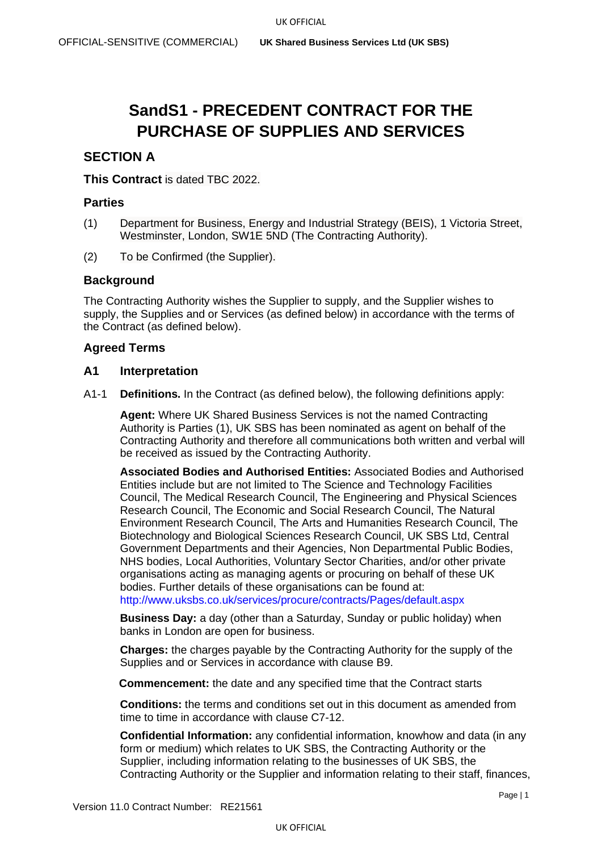# **SandS1 - PRECEDENT CONTRACT FOR THE PURCHASE OF SUPPLIES AND SERVICES**

# **SECTION A**

**This Contract** is dated TBC 2022.

## **Parties**

- (1) Department for Business, Energy and Industrial Strategy (BEIS), 1 Victoria Street, Westminster, London, SW1E 5ND (The Contracting Authority).
- (2) To be Confirmed (the Supplier).

## **Background**

The Contracting Authority wishes the Supplier to supply, and the Supplier wishes to supply, the Supplies and or Services (as defined below) in accordance with the terms of the Contract (as defined below).

## **Agreed Terms**

## **A1 Interpretation**

A1-1 **Definitions.** In the Contract (as defined below), the following definitions apply:

**Agent:** Where UK Shared Business Services is not the named Contracting Authority is Parties (1), UK SBS has been nominated as agent on behalf of the Contracting Authority and therefore all communications both written and verbal will be received as issued by the Contracting Authority.

**Associated Bodies and Authorised Entities:** Associated Bodies and Authorised Entities include but are not limited to The Science and Technology Facilities Council, The Medical Research Council, The Engineering and Physical Sciences Research Council, The Economic and Social Research Council, The Natural Environment Research Council, The Arts and Humanities Research Council, The Biotechnology and Biological Sciences Research Council, UK SBS Ltd, Central Government Departments and their Agencies, Non Departmental Public Bodies, NHS bodies, Local Authorities, Voluntary Sector Charities, and/or other private organisations acting as managing agents or procuring on behalf of these UK bodies. Further details of these organisations can be found at: http://www.uksbs.co.uk/services/procure/contracts/Pages/default.aspx

**Business Day:** a day (other than a Saturday, Sunday or public holiday) when banks in London are open for business.

**Charges:** the charges payable by the Contracting Authority for the supply of the Supplies and or Services in accordance with clause [B9.](#page-11-0)

**Commencement:** the date and any specified time that the Contract starts

**Conditions:** the terms and conditions set out in this document as amended from time to time in accordance with clause [C7-12.](#page-21-0)

**Confidential Information:** any confidential information, knowhow and data (in any form or medium) which relates to UK SBS, the Contracting Authority or the Supplier, including information relating to the businesses of UK SBS, the Contracting Authority or the Supplier and information relating to their staff, finances,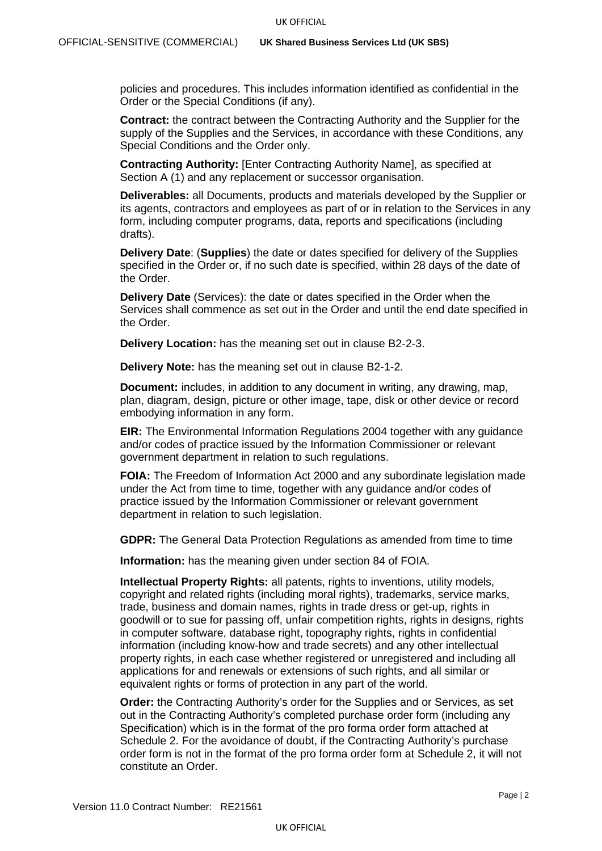policies and procedures. This includes information identified as confidential in the Order or the Special Conditions (if any).

**Contract:** the contract between the Contracting Authority and the Supplier for the supply of the Supplies and the Services, in accordance with these Conditions, any Special Conditions and the Order only.

**Contracting Authority:** [Enter Contracting Authority Name], as specified at Section A (1) and any replacement or successor organisation.

**Deliverables:** all Documents, products and materials developed by the Supplier or its agents, contractors and employees as part of or in relation to the Services in any form, including computer programs, data, reports and specifications (including drafts).

**Delivery Date**: (**Supplies**) the date or dates specified for delivery of the Supplies specified in the Order or, if no such date is specified, within 28 days of the date of the Order.

**Delivery Date** (Services): the date or dates specified in the Order when the Services shall commence as set out in the Order and until the end date specified in the Order.

**Delivery Location:** has the meaning set out in clause [B2-2-3.](#page-6-0)

**Delivery Note:** has the meaning set out in clause [B2-1-2.](#page-6-1)

**Document:** includes, in addition to any document in writing, any drawing, map, plan, diagram, design, picture or other image, tape, disk or other device or record embodying information in any form.

**EIR:** The Environmental Information Regulations 2004 together with any guidance and/or codes of practice issued by the Information Commissioner or relevant government department in relation to such regulations.

**FOIA:** The Freedom of Information Act 2000 and any subordinate legislation made under the Act from time to time, together with any guidance and/or codes of practice issued by the Information Commissioner or relevant government department in relation to such legislation.

**GDPR:** The General Data Protection Regulations as amended from time to time

**Information:** has the meaning given under section 84 of FOIA.

**Intellectual Property Rights:** all patents, rights to inventions, utility models, copyright and related rights (including moral rights), trademarks, service marks, trade, business and domain names, rights in trade dress or get-up, rights in goodwill or to sue for passing off, unfair competition rights, rights in designs, rights in computer software, database right, topography rights, rights in confidential information (including know-how and trade secrets) and any other intellectual property rights, in each case whether registered or unregistered and including all applications for and renewals or extensions of such rights, and all similar or equivalent rights or forms of protection in any part of the world.

**Order:** the Contracting Authority's order for the Supplies and or Services, as set out in the Contracting Authority's completed purchase order form (including any Specification) which is in the format of the pro forma order form attached at [Schedule 2.](#page-27-0) For the avoidance of doubt, if the Contracting Authority's purchase order form is not in the format of the pro forma order form at [Schedule 2,](#page-27-0) it will not constitute an Order.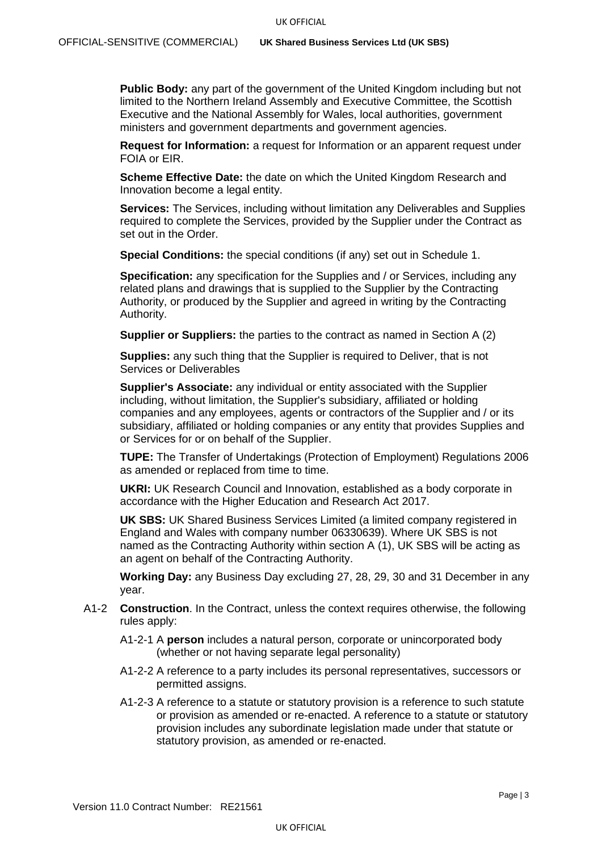**Public Body:** any part of the government of the United Kingdom including but not limited to the Northern Ireland Assembly and Executive Committee, the Scottish Executive and the National Assembly for Wales, local authorities, government ministers and government departments and government agencies.

**Request for Information:** a request for Information or an apparent request under FOIA or EIR.

**Scheme Effective Date:** the date on which the United Kingdom Research and Innovation become a legal entity.

**Services:** The Services, including without limitation any Deliverables and Supplies required to complete the Services, provided by the Supplier under the Contract as set out in the Order.

**Special Conditions:** the special conditions (if any) set out in [Schedule 1.](#page-26-0)

**Specification:** any specification for the Supplies and / or Services, including any related plans and drawings that is supplied to the Supplier by the Contracting Authority, or produced by the Supplier and agreed in writing by the Contracting Authority.

**Supplier or Suppliers:** the parties to the contract as named in Section A (2)

**Supplies:** any such thing that the Supplier is required to Deliver, that is not Services or Deliverables

**Supplier's Associate:** any individual or entity associated with the Supplier including, without limitation, the Supplier's subsidiary, affiliated or holding companies and any employees, agents or contractors of the Supplier and / or its subsidiary, affiliated or holding companies or any entity that provides Supplies and or Services for or on behalf of the Supplier.

**TUPE:** The Transfer of Undertakings (Protection of Employment) Regulations 2006 as amended or replaced from time to time.

**UKRI:** UK Research Council and Innovation, established as a body corporate in accordance with the Higher Education and Research Act 2017.

**UK SBS:** UK Shared Business Services Limited (a limited company registered in England and Wales with company number 06330639). Where UK SBS is not named as the Contracting Authority within section A (1), UK SBS will be acting as an agent on behalf of the Contracting Authority.

**Working Day:** any Business Day excluding 27, 28, 29, 30 and 31 December in any year.

- A1-2 **Construction**. In the Contract, unless the context requires otherwise, the following rules apply:
	- A1-2-1 A **person** includes a natural person, corporate or unincorporated body (whether or not having separate legal personality)
	- A1-2-2 A reference to a party includes its personal representatives, successors or permitted assigns.
	- A1-2-3 A reference to a statute or statutory provision is a reference to such statute or provision as amended or re-enacted. A reference to a statute or statutory provision includes any subordinate legislation made under that statute or statutory provision, as amended or re-enacted.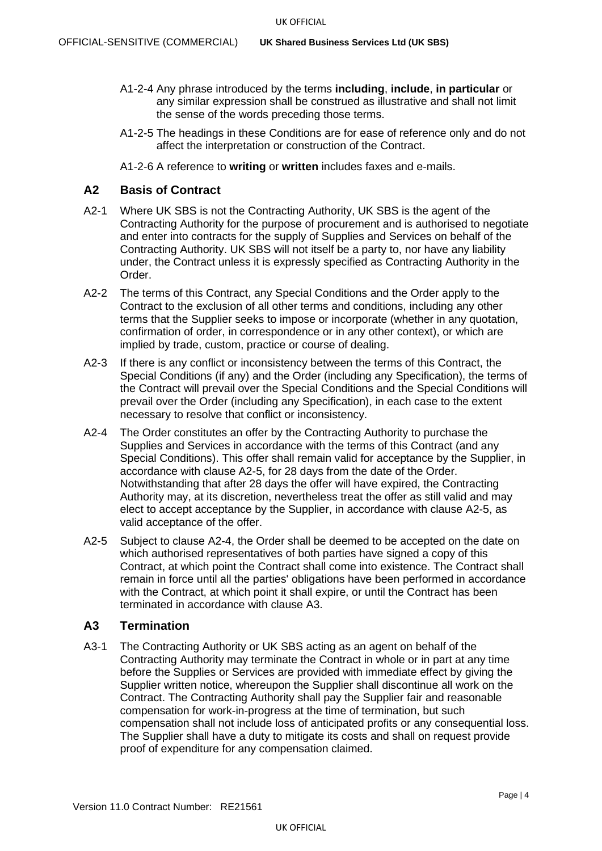A1-2-5 The headings in these Conditions are for ease of reference only and do not affect the interpretation or construction of the Contract.

A1-2-6 A reference to **writing** or **written** includes faxes and e-mails.

## **A2 Basis of Contract**

- A2-1 Where UK SBS is not the Contracting Authority, UK SBS is the agent of the Contracting Authority for the purpose of procurement and is authorised to negotiate and enter into contracts for the supply of Supplies and Services on behalf of the Contracting Authority. UK SBS will not itself be a party to, nor have any liability under, the Contract unless it is expressly specified as Contracting Authority in the Order.
- A2-2 The terms of this Contract, any Special Conditions and the Order apply to the Contract to the exclusion of all other terms and conditions, including any other terms that the Supplier seeks to impose or incorporate (whether in any quotation, confirmation of order, in correspondence or in any other context), or which are implied by trade, custom, practice or course of dealing.
- A2-3 If there is any conflict or inconsistency between the terms of this Contract, the Special Conditions (if any) and the Order (including any Specification), the terms of the Contract will prevail over the Special Conditions and the Special Conditions will prevail over the Order (including any Specification), in each case to the extent necessary to resolve that conflict or inconsistency.
- <span id="page-3-1"></span>A2-4 The Order constitutes an offer by the Contracting Authority to purchase the Supplies and Services in accordance with the terms of this Contract (and any Special Conditions). This offer shall remain valid for acceptance by the Supplier, in accordance with clause [A2-5,](#page-3-0) for 28 days from the date of the Order. Notwithstanding that after 28 days the offer will have expired, the Contracting Authority may, at its discretion, nevertheless treat the offer as still valid and may elect to accept acceptance by the Supplier, in accordance with clause [A2-5,](#page-3-0) as valid acceptance of the offer.
- <span id="page-3-0"></span>A2-5 Subject to clause [A2-4,](#page-3-1) the Order shall be deemed to be accepted on the date on which authorised representatives of both parties have signed a copy of this Contract, at which point the Contract shall come into existence. The Contract shall remain in force until all the parties' obligations have been performed in accordance with the Contract, at which point it shall expire, or until the Contract has been terminated in accordance with clause [A3.](#page-3-2)

## <span id="page-3-2"></span>**A3 Termination**

A3-1 The Contracting Authority or UK SBS acting as an agent on behalf of the Contracting Authority may terminate the Contract in whole or in part at any time before the Supplies or Services are provided with immediate effect by giving the Supplier written notice, whereupon the Supplier shall discontinue all work on the Contract. The Contracting Authority shall pay the Supplier fair and reasonable compensation for work-in-progress at the time of termination, but such compensation shall not include loss of anticipated profits or any consequential loss. The Supplier shall have a duty to mitigate its costs and shall on request provide proof of expenditure for any compensation claimed.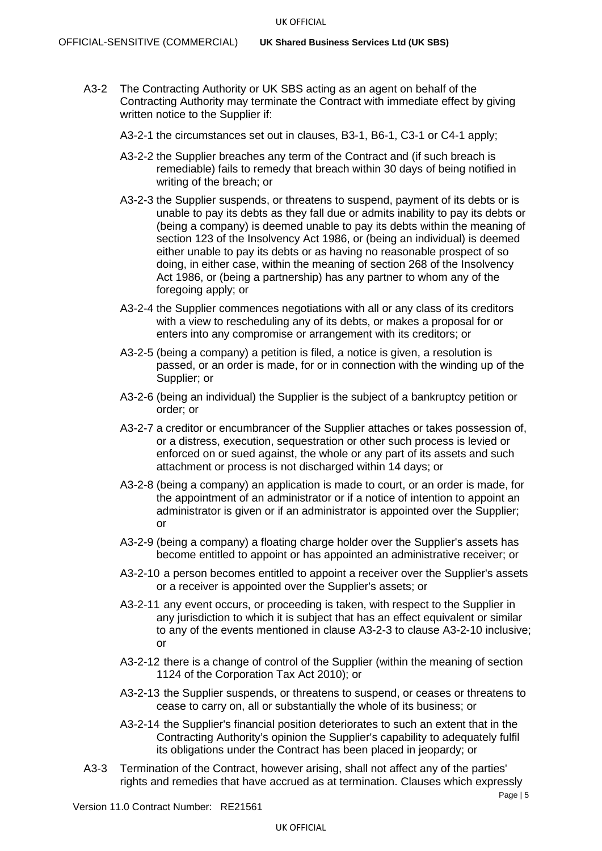- <span id="page-4-0"></span>A3-2 The Contracting Authority or UK SBS acting as an agent on behalf of the Contracting Authority may terminate the Contract with immediate effect by giving written notice to the Supplier if:
	- A3-2-1 the circumstances set out in clauses, [B3-1,](#page-7-0) [B6-1,](#page-10-0) [C3-1](#page-17-0) or [C4-1](#page-17-1) apply;
	- A3-2-2 the Supplier breaches any term of the Contract and (if such breach is remediable) fails to remedy that breach within 30 days of being notified in writing of the breach; or
	- A3-2-3 the Supplier suspends, or threatens to suspend, payment of its debts or is unable to pay its debts as they fall due or admits inability to pay its debts or (being a company) is deemed unable to pay its debts within the meaning of section 123 of the Insolvency Act 1986, or (being an individual) is deemed either unable to pay its debts or as having no reasonable prospect of so doing, in either case, within the meaning of section 268 of the Insolvency Act 1986, or (being a partnership) has any partner to whom any of the foregoing apply; or
	- A3-2-4 the Supplier commences negotiations with all or any class of its creditors with a view to rescheduling any of its debts, or makes a proposal for or enters into any compromise or arrangement with its creditors; or
	- A3-2-5 (being a company) a petition is filed, a notice is given, a resolution is passed, or an order is made, for or in connection with the winding up of the Supplier; or
	- A3-2-6 (being an individual) the Supplier is the subject of a bankruptcy petition or order; or
	- A3-2-7 a creditor or encumbrancer of the Supplier attaches or takes possession of, or a distress, execution, sequestration or other such process is levied or enforced on or sued against, the whole or any part of its assets and such attachment or process is not discharged within 14 days; or
	- A3-2-8 (being a company) an application is made to court, or an order is made, for the appointment of an administrator or if a notice of intention to appoint an administrator is given or if an administrator is appointed over the Supplier; or
	- A3-2-9 (being a company) a floating charge holder over the Supplier's assets has become entitled to appoint or has appointed an administrative receiver; or
	- A3-2-10 a person becomes entitled to appoint a receiver over the Supplier's assets or a receiver is appointed over the Supplier's assets; or
	- A3-2-11 any event occurs, or proceeding is taken, with respect to the Supplier in any jurisdiction to which it is subject that has an effect equivalent or similar to any of the events mentioned in clause [A3-2-3](#page-4-0) to clause [A3-2-10](#page-4-1) inclusive; or
	- A3-2-12 there is a change of control of the Supplier (within the meaning of section 1124 of the Corporation Tax Act 2010); or
	- A3-2-13 the Supplier suspends, or threatens to suspend, or ceases or threatens to cease to carry on, all or substantially the whole of its business; or
	- A3-2-14 the Supplier's financial position deteriorates to such an extent that in the Contracting Authority's opinion the Supplier's capability to adequately fulfil its obligations under the Contract has been placed in jeopardy; or
- <span id="page-4-2"></span><span id="page-4-1"></span>A3-3 Termination of the Contract, however arising, shall not affect any of the parties' rights and remedies that have accrued as at termination. Clauses which expressly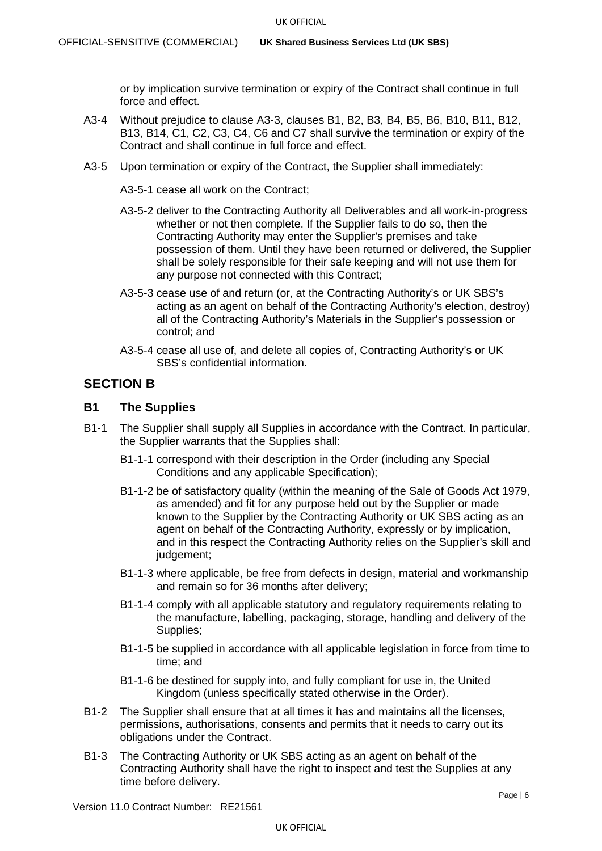or by implication survive termination or expiry of the Contract shall continue in full force and effect.

- A3-4 Without prejudice to clause [A3-3,](#page-4-2) clauses [B1,](#page-5-0) [B2,](#page-6-2) [B3,](#page-7-1) [B4,](#page-9-0) [B5,](#page-9-1) [B6,](#page-10-1) [B10,](#page-13-0) [B11,](#page-14-0) [B12,](#page-14-1) [B13,](#page-15-0) [B14,](#page-15-1) [C1,](#page-16-0) [C2,](#page-17-2) [C3,](#page-17-3) [C4,](#page-17-4) [C6](#page-18-0) and [C7](#page-19-0) shall survive the termination or expiry of the Contract and shall continue in full force and effect.
- A3-5 Upon termination or expiry of the Contract, the Supplier shall immediately:

A3-5-1 cease all work on the Contract;

- A3-5-2 deliver to the Contracting Authority all Deliverables and all work-in-progress whether or not then complete. If the Supplier fails to do so, then the Contracting Authority may enter the Supplier's premises and take possession of them. Until they have been returned or delivered, the Supplier shall be solely responsible for their safe keeping and will not use them for any purpose not connected with this Contract;
- A3-5-3 cease use of and return (or, at the Contracting Authority's or UK SBS's acting as an agent on behalf of the Contracting Authority's election, destroy) all of the Contracting Authority's Materials in the Supplier's possession or control; and
- A3-5-4 cease all use of, and delete all copies of, Contracting Authority's or UK SBS's confidential information.

## **SECTION B**

## <span id="page-5-0"></span>**B1 The Supplies**

- <span id="page-5-1"></span>B1-1 The Supplier shall supply all Supplies in accordance with the Contract. In particular, the Supplier warrants that the Supplies shall:
	- B1-1-1 correspond with their description in the Order (including any Special Conditions and any applicable Specification);
	- B1-1-2 be of satisfactory quality (within the meaning of the Sale of Goods Act 1979, as amended) and fit for any purpose held out by the Supplier or made known to the Supplier by the Contracting Authority or UK SBS acting as an agent on behalf of the Contracting Authority, expressly or by implication, and in this respect the Contracting Authority relies on the Supplier's skill and judgement;
	- B1-1-3 where applicable, be free from defects in design, material and workmanship and remain so for 36 months after delivery;
	- B1-1-4 comply with all applicable statutory and regulatory requirements relating to the manufacture, labelling, packaging, storage, handling and delivery of the Supplies;
	- B1-1-5 be supplied in accordance with all applicable legislation in force from time to time; and
	- B1-1-6 be destined for supply into, and fully compliant for use in, the United Kingdom (unless specifically stated otherwise in the Order).
- B1-2 The Supplier shall ensure that at all times it has and maintains all the licenses, permissions, authorisations, consents and permits that it needs to carry out its obligations under the Contract.
- B1-3 The Contracting Authority or UK SBS acting as an agent on behalf of the Contracting Authority shall have the right to inspect and test the Supplies at any time before delivery.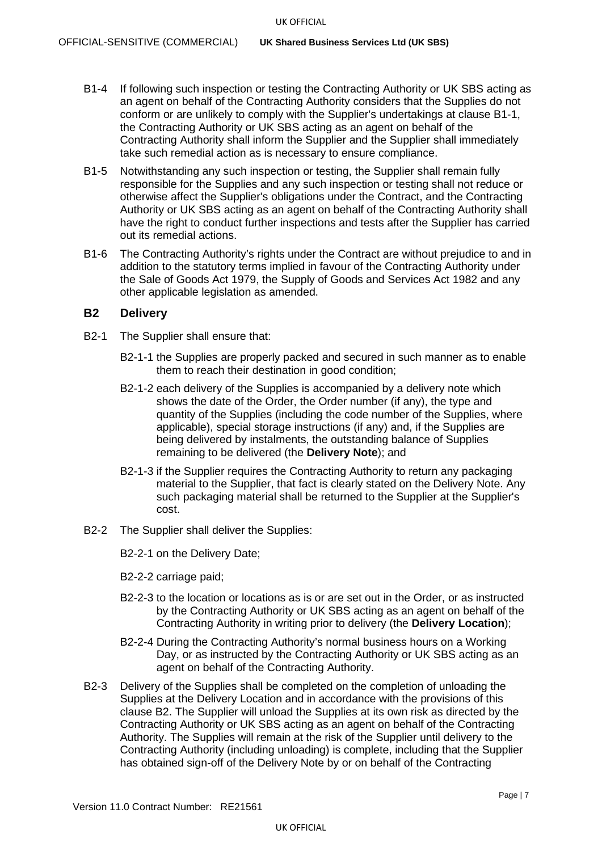- B1-4 If following such inspection or testing the Contracting Authority or UK SBS acting as an agent on behalf of the Contracting Authority considers that the Supplies do not conform or are unlikely to comply with the Supplier's undertakings at clause [B1-1,](#page-5-1) the Contracting Authority or UK SBS acting as an agent on behalf of the Contracting Authority shall inform the Supplier and the Supplier shall immediately take such remedial action as is necessary to ensure compliance.
- B1-5 Notwithstanding any such inspection or testing, the Supplier shall remain fully responsible for the Supplies and any such inspection or testing shall not reduce or otherwise affect the Supplier's obligations under the Contract, and the Contracting Authority or UK SBS acting as an agent on behalf of the Contracting Authority shall have the right to conduct further inspections and tests after the Supplier has carried out its remedial actions.
- B1-6 The Contracting Authority's rights under the Contract are without prejudice to and in addition to the statutory terms implied in favour of the Contracting Authority under the Sale of Goods Act 1979, the Supply of Goods and Services Act 1982 and any other applicable legislation as amended.

#### <span id="page-6-2"></span>**B2 Delivery**

- <span id="page-6-1"></span>B2-1 The Supplier shall ensure that:
	- B2-1-1 the Supplies are properly packed and secured in such manner as to enable them to reach their destination in good condition;
	- B2-1-2 each delivery of the Supplies is accompanied by a delivery note which shows the date of the Order, the Order number (if any), the type and quantity of the Supplies (including the code number of the Supplies, where applicable), special storage instructions (if any) and, if the Supplies are being delivered by instalments, the outstanding balance of Supplies remaining to be delivered (the **Delivery Note**); and
	- B2-1-3 if the Supplier requires the Contracting Authority to return any packaging material to the Supplier, that fact is clearly stated on the Delivery Note. Any such packaging material shall be returned to the Supplier at the Supplier's cost.
- B2-2 The Supplier shall deliver the Supplies:

B2-2-1 on the Delivery Date;

- B2-2-2 carriage paid;
- <span id="page-6-0"></span>B2-2-3 to the location or locations as is or are set out in the Order, or as instructed by the Contracting Authority or UK SBS acting as an agent on behalf of the Contracting Authority in writing prior to delivery (the **Delivery Location**);
- B2-2-4 During the Contracting Authority's normal business hours on a Working Day, or as instructed by the Contracting Authority or UK SBS acting as an agent on behalf of the Contracting Authority.
- B2-3 Delivery of the Supplies shall be completed on the completion of unloading the Supplies at the Delivery Location and in accordance with the provisions of this clause [B2.](#page-6-2) The Supplier will unload the Supplies at its own risk as directed by the Contracting Authority or UK SBS acting as an agent on behalf of the Contracting Authority. The Supplies will remain at the risk of the Supplier until delivery to the Contracting Authority (including unloading) is complete, including that the Supplier has obtained sign-off of the Delivery Note by or on behalf of the Contracting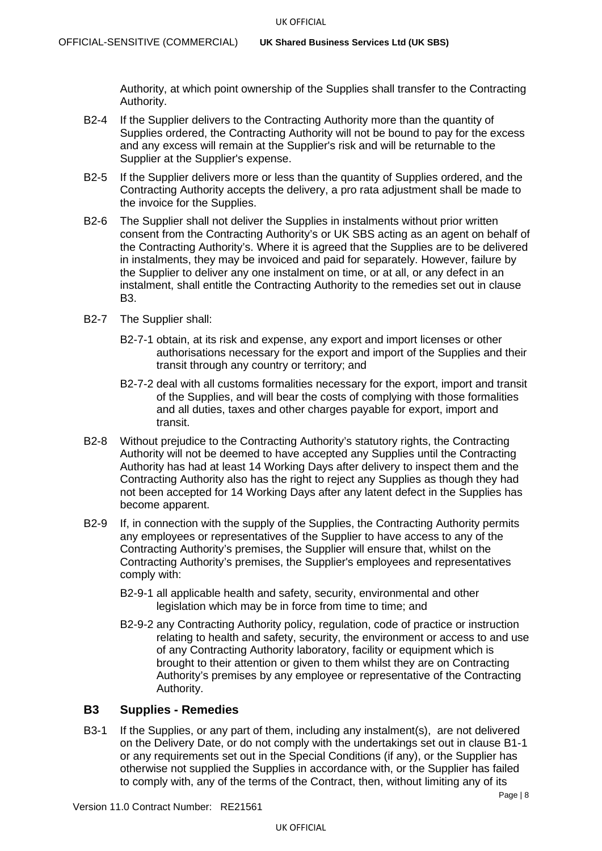Authority, at which point ownership of the Supplies shall transfer to the Contracting Authority.

- B2-4 If the Supplier delivers to the Contracting Authority more than the quantity of Supplies ordered, the Contracting Authority will not be bound to pay for the excess and any excess will remain at the Supplier's risk and will be returnable to the Supplier at the Supplier's expense.
- B2-5 If the Supplier delivers more or less than the quantity of Supplies ordered, and the Contracting Authority accepts the delivery, a pro rata adjustment shall be made to the invoice for the Supplies.
- B2-6 The Supplier shall not deliver the Supplies in instalments without prior written consent from the Contracting Authority's or UK SBS acting as an agent on behalf of the Contracting Authority's. Where it is agreed that the Supplies are to be delivered in instalments, they may be invoiced and paid for separately. However, failure by the Supplier to deliver any one instalment on time, or at all, or any defect in an instalment, shall entitle the Contracting Authority to the remedies set out in clause [B3.](#page-7-1)
- B2-7 The Supplier shall:
	- B2-7-1 obtain, at its risk and expense, any export and import licenses or other authorisations necessary for the export and import of the Supplies and their transit through any country or territory; and
	- B2-7-2 deal with all customs formalities necessary for the export, import and transit of the Supplies, and will bear the costs of complying with those formalities and all duties, taxes and other charges payable for export, import and transit.
- B2-8 Without prejudice to the Contracting Authority's statutory rights, the Contracting Authority will not be deemed to have accepted any Supplies until the Contracting Authority has had at least 14 Working Days after delivery to inspect them and the Contracting Authority also has the right to reject any Supplies as though they had not been accepted for 14 Working Days after any latent defect in the Supplies has become apparent.
- B2-9 If, in connection with the supply of the Supplies, the Contracting Authority permits any employees or representatives of the Supplier to have access to any of the Contracting Authority's premises, the Supplier will ensure that, whilst on the Contracting Authority's premises, the Supplier's employees and representatives comply with:
	- B2-9-1 all applicable health and safety, security, environmental and other legislation which may be in force from time to time; and
	- B2-9-2 any Contracting Authority policy, regulation, code of practice or instruction relating to health and safety, security, the environment or access to and use of any Contracting Authority laboratory, facility or equipment which is brought to their attention or given to them whilst they are on Contracting Authority's premises by any employee or representative of the Contracting Authority.

#### <span id="page-7-1"></span>**B3 Supplies - Remedies**

<span id="page-7-0"></span>B3-1 If the Supplies, or any part of them, including any instalment(s), are not delivered on the Delivery Date, or do not comply with the undertakings set out in clause [B1-1](#page-5-1) or any requirements set out in the Special Conditions (if any), or the Supplier has otherwise not supplied the Supplies in accordance with, or the Supplier has failed to comply with, any of the terms of the Contract, then, without limiting any of its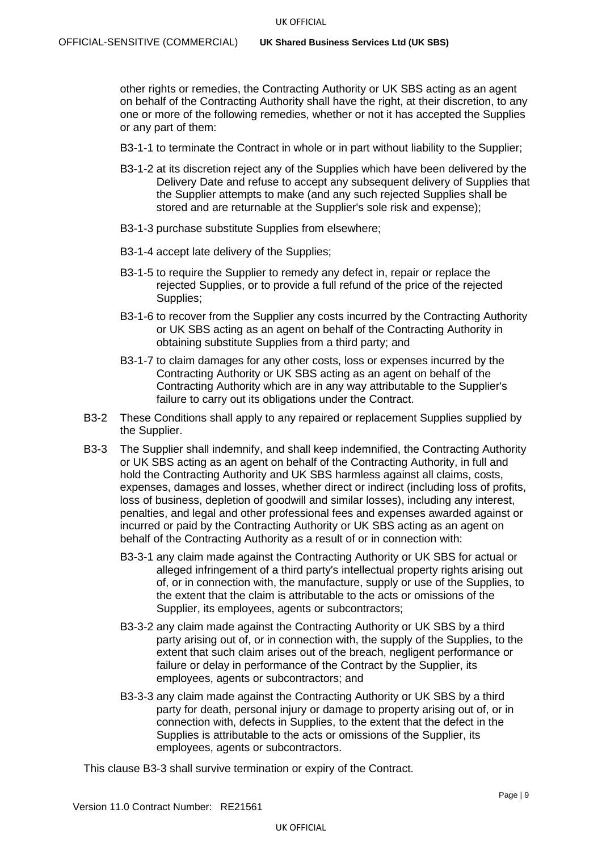other rights or remedies, the Contracting Authority or UK SBS acting as an agent on behalf of the Contracting Authority shall have the right, at their discretion, to any one or more of the following remedies, whether or not it has accepted the Supplies or any part of them:

- B3-1-1 to terminate the Contract in whole or in part without liability to the Supplier;
- B3-1-2 at its discretion reject any of the Supplies which have been delivered by the Delivery Date and refuse to accept any subsequent delivery of Supplies that the Supplier attempts to make (and any such rejected Supplies shall be stored and are returnable at the Supplier's sole risk and expense);
- B3-1-3 purchase substitute Supplies from elsewhere;
- B3-1-4 accept late delivery of the Supplies;
- B3-1-5 to require the Supplier to remedy any defect in, repair or replace the rejected Supplies, or to provide a full refund of the price of the rejected Supplies;
- B3-1-6 to recover from the Supplier any costs incurred by the Contracting Authority or UK SBS acting as an agent on behalf of the Contracting Authority in obtaining substitute Supplies from a third party; and
- B3-1-7 to claim damages for any other costs, loss or expenses incurred by the Contracting Authority or UK SBS acting as an agent on behalf of the Contracting Authority which are in any way attributable to the Supplier's failure to carry out its obligations under the Contract.
- B3-2 These Conditions shall apply to any repaired or replacement Supplies supplied by the Supplier.
- <span id="page-8-0"></span>B3-3 The Supplier shall indemnify, and shall keep indemnified, the Contracting Authority or UK SBS acting as an agent on behalf of the Contracting Authority, in full and hold the Contracting Authority and UK SBS harmless against all claims, costs, expenses, damages and losses, whether direct or indirect (including loss of profits, loss of business, depletion of goodwill and similar losses), including any interest, penalties, and legal and other professional fees and expenses awarded against or incurred or paid by the Contracting Authority or UK SBS acting as an agent on behalf of the Contracting Authority as a result of or in connection with:
	- B3-3-1 any claim made against the Contracting Authority or UK SBS for actual or alleged infringement of a third party's intellectual property rights arising out of, or in connection with, the manufacture, supply or use of the Supplies, to the extent that the claim is attributable to the acts or omissions of the Supplier, its employees, agents or subcontractors;
	- B3-3-2 any claim made against the Contracting Authority or UK SBS by a third party arising out of, or in connection with, the supply of the Supplies, to the extent that such claim arises out of the breach, negligent performance or failure or delay in performance of the Contract by the Supplier, its employees, agents or subcontractors; and
	- B3-3-3 any claim made against the Contracting Authority or UK SBS by a third party for death, personal injury or damage to property arising out of, or in connection with, defects in Supplies, to the extent that the defect in the Supplies is attributable to the acts or omissions of the Supplier, its employees, agents or subcontractors.

This clause [B3-3](#page-8-0) shall survive termination or expiry of the Contract.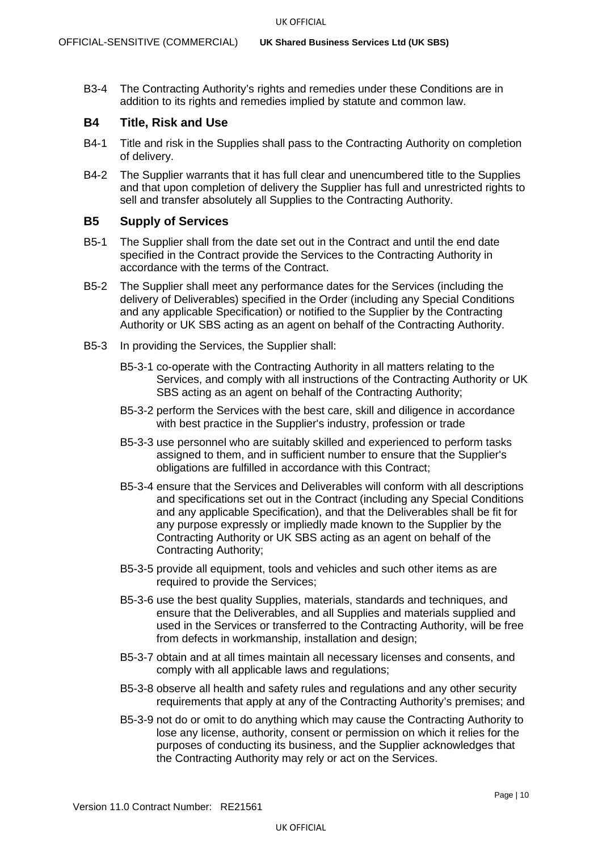B3-4 The Contracting Authority's rights and remedies under these Conditions are in addition to its rights and remedies implied by statute and common law.

## <span id="page-9-0"></span>**B4 Title, Risk and Use**

- B4-1 Title and risk in the Supplies shall pass to the Contracting Authority on completion of delivery.
- B4-2 The Supplier warrants that it has full clear and unencumbered title to the Supplies and that upon completion of delivery the Supplier has full and unrestricted rights to sell and transfer absolutely all Supplies to the Contracting Authority.

## <span id="page-9-1"></span>**B5 Supply of Services**

- B5-1 The Supplier shall from the date set out in the Contract and until the end date specified in the Contract provide the Services to the Contracting Authority in accordance with the terms of the Contract.
- B5-2 The Supplier shall meet any performance dates for the Services (including the delivery of Deliverables) specified in the Order (including any Special Conditions and any applicable Specification) or notified to the Supplier by the Contracting Authority or UK SBS acting as an agent on behalf of the Contracting Authority.
- B5-3 In providing the Services, the Supplier shall:
	- B5-3-1 co-operate with the Contracting Authority in all matters relating to the Services, and comply with all instructions of the Contracting Authority or UK SBS acting as an agent on behalf of the Contracting Authority;
	- B5-3-2 perform the Services with the best care, skill and diligence in accordance with best practice in the Supplier's industry, profession or trade
	- B5-3-3 use personnel who are suitably skilled and experienced to perform tasks assigned to them, and in sufficient number to ensure that the Supplier's obligations are fulfilled in accordance with this Contract;
	- B5-3-4 ensure that the Services and Deliverables will conform with all descriptions and specifications set out in the Contract (including any Special Conditions and any applicable Specification), and that the Deliverables shall be fit for any purpose expressly or impliedly made known to the Supplier by the Contracting Authority or UK SBS acting as an agent on behalf of the Contracting Authority;
	- B5-3-5 provide all equipment, tools and vehicles and such other items as are required to provide the Services;
	- B5-3-6 use the best quality Supplies, materials, standards and techniques, and ensure that the Deliverables, and all Supplies and materials supplied and used in the Services or transferred to the Contracting Authority, will be free from defects in workmanship, installation and design;
	- B5-3-7 obtain and at all times maintain all necessary licenses and consents, and comply with all applicable laws and regulations;
	- B5-3-8 observe all health and safety rules and regulations and any other security requirements that apply at any of the Contracting Authority's premises; and
	- B5-3-9 not do or omit to do anything which may cause the Contracting Authority to lose any license, authority, consent or permission on which it relies for the purposes of conducting its business, and the Supplier acknowledges that the Contracting Authority may rely or act on the Services.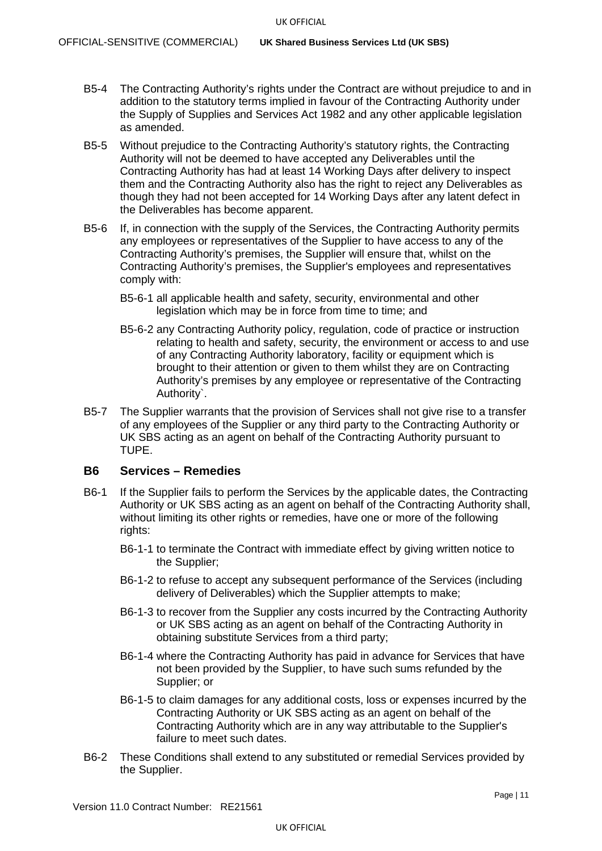- B5-4 The Contracting Authority's rights under the Contract are without prejudice to and in addition to the statutory terms implied in favour of the Contracting Authority under the Supply of Supplies and Services Act 1982 and any other applicable legislation as amended.
- B5-5 Without prejudice to the Contracting Authority's statutory rights, the Contracting Authority will not be deemed to have accepted any Deliverables until the Contracting Authority has had at least 14 Working Days after delivery to inspect them and the Contracting Authority also has the right to reject any Deliverables as though they had not been accepted for 14 Working Days after any latent defect in the Deliverables has become apparent.
- B5-6 If, in connection with the supply of the Services, the Contracting Authority permits any employees or representatives of the Supplier to have access to any of the Contracting Authority's premises, the Supplier will ensure that, whilst on the Contracting Authority's premises, the Supplier's employees and representatives comply with:
	- B5-6-1 all applicable health and safety, security, environmental and other legislation which may be in force from time to time; and
	- B5-6-2 any Contracting Authority policy, regulation, code of practice or instruction relating to health and safety, security, the environment or access to and use of any Contracting Authority laboratory, facility or equipment which is brought to their attention or given to them whilst they are on Contracting Authority's premises by any employee or representative of the Contracting Authority`.
- <span id="page-10-2"></span>B5-7 The Supplier warrants that the provision of Services shall not give rise to a transfer of any employees of the Supplier or any third party to the Contracting Authority or UK SBS acting as an agent on behalf of the Contracting Authority pursuant to TUPE.

#### <span id="page-10-1"></span>**B6 Services – Remedies**

- <span id="page-10-0"></span>B6-1 If the Supplier fails to perform the Services by the applicable dates, the Contracting Authority or UK SBS acting as an agent on behalf of the Contracting Authority shall, without limiting its other rights or remedies, have one or more of the following rights:
	- B6-1-1 to terminate the Contract with immediate effect by giving written notice to the Supplier;
	- B6-1-2 to refuse to accept any subsequent performance of the Services (including delivery of Deliverables) which the Supplier attempts to make;
	- B6-1-3 to recover from the Supplier any costs incurred by the Contracting Authority or UK SBS acting as an agent on behalf of the Contracting Authority in obtaining substitute Services from a third party;
	- B6-1-4 where the Contracting Authority has paid in advance for Services that have not been provided by the Supplier, to have such sums refunded by the Supplier; or
	- B6-1-5 to claim damages for any additional costs, loss or expenses incurred by the Contracting Authority or UK SBS acting as an agent on behalf of the Contracting Authority which are in any way attributable to the Supplier's failure to meet such dates.
- B6-2 These Conditions shall extend to any substituted or remedial Services provided by the Supplier.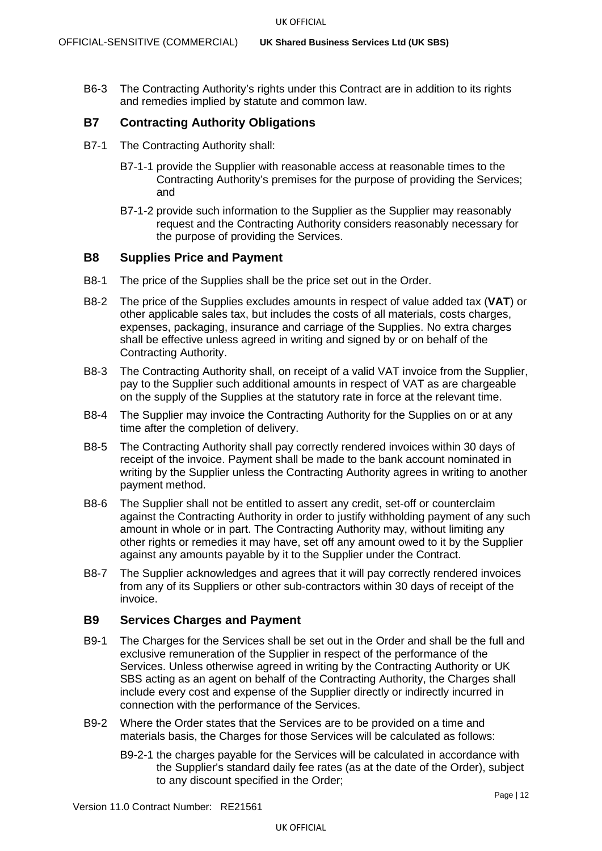B6-3 The Contracting Authority's rights under this Contract are in addition to its rights and remedies implied by statute and common law.

#### **B7 Contracting Authority Obligations**

- B7-1 The Contracting Authority shall:
	- B7-1-1 provide the Supplier with reasonable access at reasonable times to the Contracting Authority's premises for the purpose of providing the Services; and
	- B7-1-2 provide such information to the Supplier as the Supplier may reasonably request and the Contracting Authority considers reasonably necessary for the purpose of providing the Services.

## **B8 Supplies Price and Payment**

- B8-1 The price of the Supplies shall be the price set out in the Order.
- B8-2 The price of the Supplies excludes amounts in respect of value added tax (**VAT**) or other applicable sales tax, but includes the costs of all materials, costs charges, expenses, packaging, insurance and carriage of the Supplies. No extra charges shall be effective unless agreed in writing and signed by or on behalf of the Contracting Authority.
- B8-3 The Contracting Authority shall, on receipt of a valid VAT invoice from the Supplier, pay to the Supplier such additional amounts in respect of VAT as are chargeable on the supply of the Supplies at the statutory rate in force at the relevant time.
- B8-4 The Supplier may invoice the Contracting Authority for the Supplies on or at any time after the completion of delivery.
- B8-5 The Contracting Authority shall pay correctly rendered invoices within 30 days of receipt of the invoice. Payment shall be made to the bank account nominated in writing by the Supplier unless the Contracting Authority agrees in writing to another payment method.
- B8-6 The Supplier shall not be entitled to assert any credit, set-off or counterclaim against the Contracting Authority in order to justify withholding payment of any such amount in whole or in part. The Contracting Authority may, without limiting any other rights or remedies it may have, set off any amount owed to it by the Supplier against any amounts payable by it to the Supplier under the Contract.
- B8-7 The Supplier acknowledges and agrees that it will pay correctly rendered invoices from any of its Suppliers or other sub-contractors within 30 days of receipt of the invoice.

## <span id="page-11-0"></span>**B9 Services Charges and Payment**

- B9-1 The Charges for the Services shall be set out in the Order and shall be the full and exclusive remuneration of the Supplier in respect of the performance of the Services. Unless otherwise agreed in writing by the Contracting Authority or UK SBS acting as an agent on behalf of the Contracting Authority, the Charges shall include every cost and expense of the Supplier directly or indirectly incurred in connection with the performance of the Services.
- <span id="page-11-1"></span>B9-2 Where the Order states that the Services are to be provided on a time and materials basis, the Charges for those Services will be calculated as follows:
	- B9-2-1 the charges payable for the Services will be calculated in accordance with the Supplier's standard daily fee rates (as at the date of the Order), subject to any discount specified in the Order;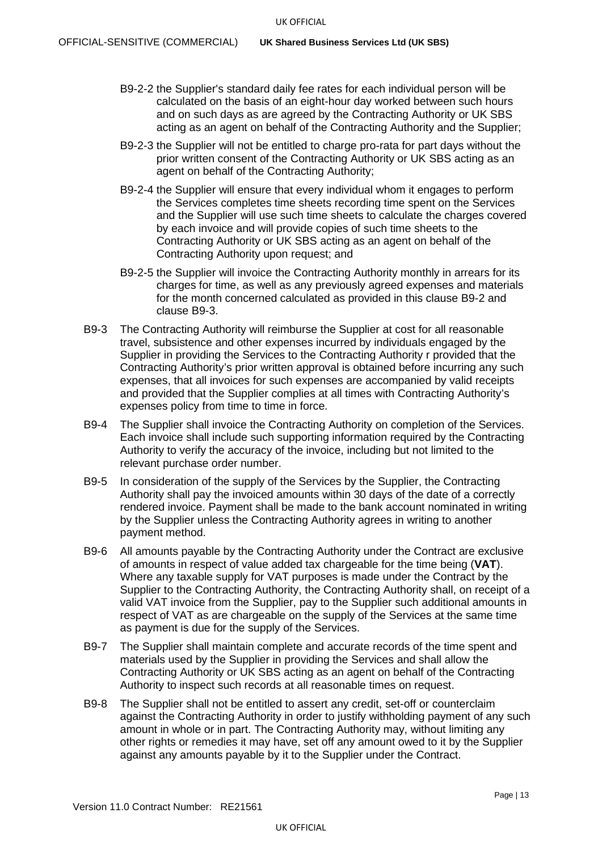- B9-2-2 the Supplier's standard daily fee rates for each individual person will be calculated on the basis of an eight-hour day worked between such hours and on such days as are agreed by the Contracting Authority or UK SBS acting as an agent on behalf of the Contracting Authority and the Supplier;
- B9-2-3 the Supplier will not be entitled to charge pro-rata for part days without the prior written consent of the Contracting Authority or UK SBS acting as an agent on behalf of the Contracting Authority;
- B9-2-4 the Supplier will ensure that every individual whom it engages to perform the Services completes time sheets recording time spent on the Services and the Supplier will use such time sheets to calculate the charges covered by each invoice and will provide copies of such time sheets to the Contracting Authority or UK SBS acting as an agent on behalf of the Contracting Authority upon request; and
- B9-2-5 the Supplier will invoice the Contracting Authority monthly in arrears for its charges for time, as well as any previously agreed expenses and materials for the month concerned calculated as provided in this clause [B9-2](#page-11-1) and clause [B9-3.](#page-12-0)
- <span id="page-12-0"></span>B9-3 The Contracting Authority will reimburse the Supplier at cost for all reasonable travel, subsistence and other expenses incurred by individuals engaged by the Supplier in providing the Services to the Contracting Authority r provided that the Contracting Authority's prior written approval is obtained before incurring any such expenses, that all invoices for such expenses are accompanied by valid receipts and provided that the Supplier complies at all times with Contracting Authority's expenses policy from time to time in force.
- B9-4 The Supplier shall invoice the Contracting Authority on completion of the Services. Each invoice shall include such supporting information required by the Contracting Authority to verify the accuracy of the invoice, including but not limited to the relevant purchase order number.
- B9-5 In consideration of the supply of the Services by the Supplier, the Contracting Authority shall pay the invoiced amounts within 30 days of the date of a correctly rendered invoice. Payment shall be made to the bank account nominated in writing by the Supplier unless the Contracting Authority agrees in writing to another payment method.
- B9-6 All amounts payable by the Contracting Authority under the Contract are exclusive of amounts in respect of value added tax chargeable for the time being (**VAT**). Where any taxable supply for VAT purposes is made under the Contract by the Supplier to the Contracting Authority, the Contracting Authority shall, on receipt of a valid VAT invoice from the Supplier, pay to the Supplier such additional amounts in respect of VAT as are chargeable on the supply of the Services at the same time as payment is due for the supply of the Services.
- B9-7 The Supplier shall maintain complete and accurate records of the time spent and materials used by the Supplier in providing the Services and shall allow the Contracting Authority or UK SBS acting as an agent on behalf of the Contracting Authority to inspect such records at all reasonable times on request.
- B9-8 The Supplier shall not be entitled to assert any credit, set-off or counterclaim against the Contracting Authority in order to justify withholding payment of any such amount in whole or in part. The Contracting Authority may, without limiting any other rights or remedies it may have, set off any amount owed to it by the Supplier against any amounts payable by it to the Supplier under the Contract.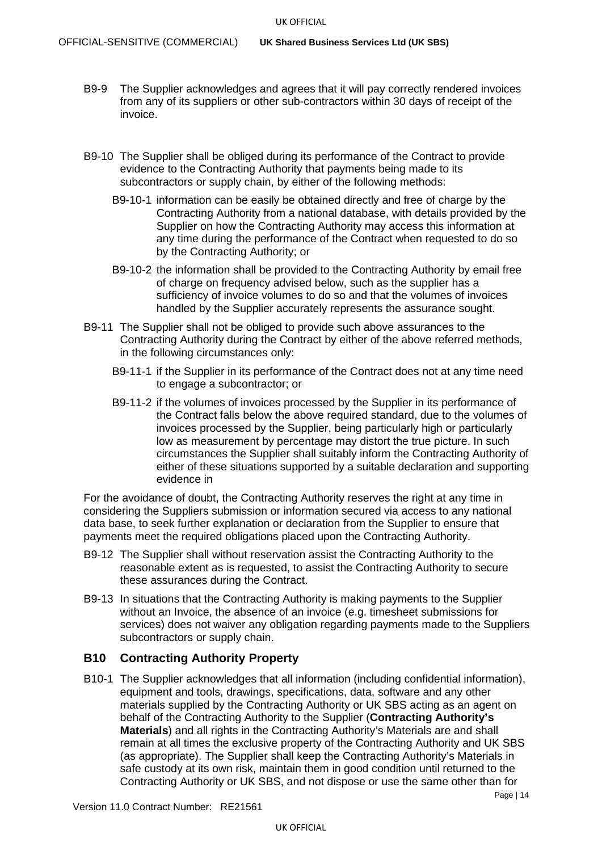- B9-9 The Supplier acknowledges and agrees that it will pay correctly rendered invoices from any of its suppliers or other sub-contractors within 30 days of receipt of the invoice.
- B9-10 The Supplier shall be obliged during its performance of the Contract to provide evidence to the Contracting Authority that payments being made to its subcontractors or supply chain, by either of the following methods:
	- B9-10-1 information can be easily be obtained directly and free of charge by the Contracting Authority from a national database, with details provided by the Supplier on how the Contracting Authority may access this information at any time during the performance of the Contract when requested to do so by the Contracting Authority; or
	- B9-10-2 the information shall be provided to the Contracting Authority by email free of charge on frequency advised below, such as the supplier has a sufficiency of invoice volumes to do so and that the volumes of invoices handled by the Supplier accurately represents the assurance sought.
- B9-11 The Supplier shall not be obliged to provide such above assurances to the Contracting Authority during the Contract by either of the above referred methods, in the following circumstances only:
	- B9-11-1 if the Supplier in its performance of the Contract does not at any time need to engage a subcontractor; or
	- B9-11-2 if the volumes of invoices processed by the Supplier in its performance of the Contract falls below the above required standard, due to the volumes of invoices processed by the Supplier, being particularly high or particularly low as measurement by percentage may distort the true picture. In such circumstances the Supplier shall suitably inform the Contracting Authority of either of these situations supported by a suitable declaration and supporting evidence in

For the avoidance of doubt, the Contracting Authority reserves the right at any time in considering the Suppliers submission or information secured via access to any national data base, to seek further explanation or declaration from the Supplier to ensure that payments meet the required obligations placed upon the Contracting Authority.

- B9-12 The Supplier shall without reservation assist the Contracting Authority to the reasonable extent as is requested, to assist the Contracting Authority to secure these assurances during the Contract.
- B9-13 In situations that the Contracting Authority is making payments to the Supplier without an Invoice, the absence of an invoice (e.g. timesheet submissions for services) does not waiver any obligation regarding payments made to the Suppliers subcontractors or supply chain.

## <span id="page-13-0"></span>**B10 Contracting Authority Property**

B10-1 The Supplier acknowledges that all information (including confidential information), equipment and tools, drawings, specifications, data, software and any other materials supplied by the Contracting Authority or UK SBS acting as an agent on behalf of the Contracting Authority to the Supplier (**Contracting Authority's Materials**) and all rights in the Contracting Authority's Materials are and shall remain at all times the exclusive property of the Contracting Authority and UK SBS (as appropriate). The Supplier shall keep the Contracting Authority's Materials in safe custody at its own risk, maintain them in good condition until returned to the Contracting Authority or UK SBS, and not dispose or use the same other than for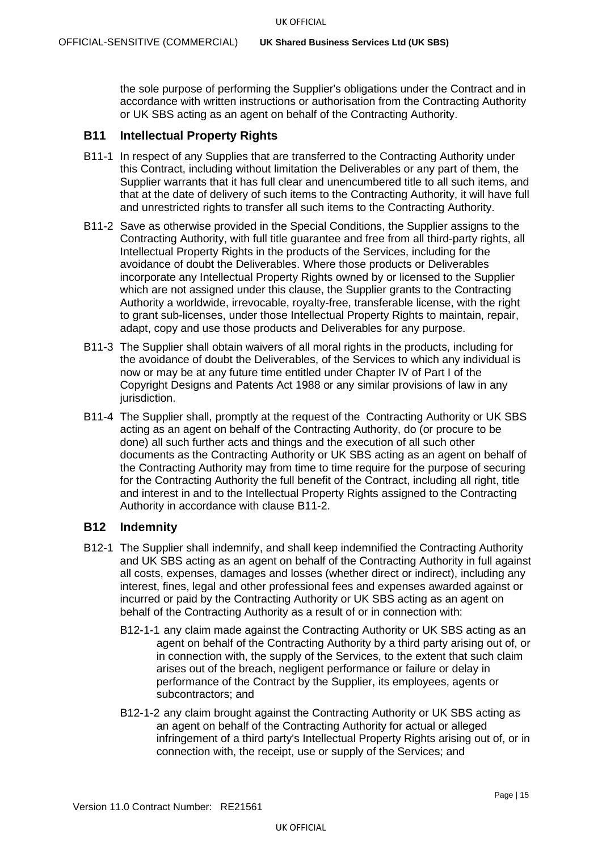the sole purpose of performing the Supplier's obligations under the Contract and in accordance with written instructions or authorisation from the Contracting Authority or UK SBS acting as an agent on behalf of the Contracting Authority.

## <span id="page-14-0"></span>**B11 Intellectual Property Rights**

- B11-1 In respect of any Supplies that are transferred to the Contracting Authority under this Contract, including without limitation the Deliverables or any part of them, the Supplier warrants that it has full clear and unencumbered title to all such items, and that at the date of delivery of such items to the Contracting Authority, it will have full and unrestricted rights to transfer all such items to the Contracting Authority.
- <span id="page-14-2"></span>B11-2 Save as otherwise provided in the Special Conditions, the Supplier assigns to the Contracting Authority, with full title guarantee and free from all third-party rights, all Intellectual Property Rights in the products of the Services, including for the avoidance of doubt the Deliverables. Where those products or Deliverables incorporate any Intellectual Property Rights owned by or licensed to the Supplier which are not assigned under this clause, the Supplier grants to the Contracting Authority a worldwide, irrevocable, royalty-free, transferable license, with the right to grant sub-licenses, under those Intellectual Property Rights to maintain, repair, adapt, copy and use those products and Deliverables for any purpose.
- B11-3 The Supplier shall obtain waivers of all moral rights in the products, including for the avoidance of doubt the Deliverables, of the Services to which any individual is now or may be at any future time entitled under Chapter IV of Part I of the Copyright Designs and Patents Act 1988 or any similar provisions of law in any jurisdiction.
- B11-4 The Supplier shall, promptly at the request of the Contracting Authority or UK SBS acting as an agent on behalf of the Contracting Authority, do (or procure to be done) all such further acts and things and the execution of all such other documents as the Contracting Authority or UK SBS acting as an agent on behalf of the Contracting Authority may from time to time require for the purpose of securing for the Contracting Authority the full benefit of the Contract, including all right, title and interest in and to the Intellectual Property Rights assigned to the Contracting Authority in accordance with clause [B11-2.](#page-14-2)

## <span id="page-14-1"></span>**B12 Indemnity**

- B12-1 The Supplier shall indemnify, and shall keep indemnified the Contracting Authority and UK SBS acting as an agent on behalf of the Contracting Authority in full against all costs, expenses, damages and losses (whether direct or indirect), including any interest, fines, legal and other professional fees and expenses awarded against or incurred or paid by the Contracting Authority or UK SBS acting as an agent on behalf of the Contracting Authority as a result of or in connection with:
	- B12-1-1 any claim made against the Contracting Authority or UK SBS acting as an agent on behalf of the Contracting Authority by a third party arising out of, or in connection with, the supply of the Services, to the extent that such claim arises out of the breach, negligent performance or failure or delay in performance of the Contract by the Supplier, its employees, agents or subcontractors; and
	- B12-1-2 any claim brought against the Contracting Authority or UK SBS acting as an agent on behalf of the Contracting Authority for actual or alleged infringement of a third party's Intellectual Property Rights arising out of, or in connection with, the receipt, use or supply of the Services; and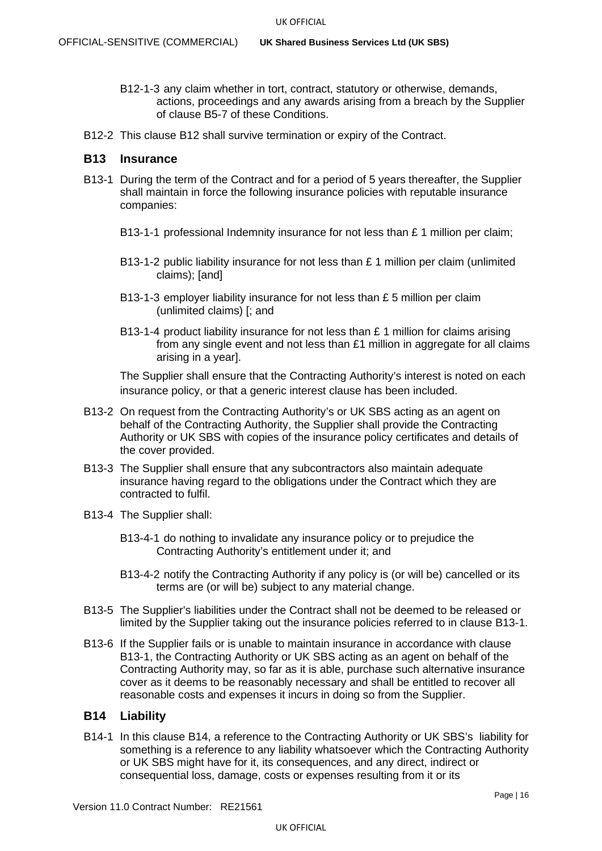- B12-1-3 any claim whether in tort, contract, statutory or otherwise, demands, actions, proceedings and any awards arising from a breach by the Supplier of clause [B5-7](#page-10-2) of these Conditions.
- B12-2 This clause [B12](#page-14-1) shall survive termination or expiry of the Contract.

#### <span id="page-15-0"></span>**B13 Insurance**

- <span id="page-15-2"></span>B13-1 During the term of the Contract and for a period of 5 years thereafter, the Supplier shall maintain in force the following insurance policies with reputable insurance companies:
	- B13-1-1 professional Indemnity insurance for not less than  $£ 1$  million per claim;
	- B13-1-2 public liability insurance for not less than  $E$  1 million per claim (unlimited claims); [and]
	- B13-1-3 employer liability insurance for not less than £ 5 million per claim (unlimited claims) [; and
	- B13-1-4 product liability insurance for not less than  $E$  1 million for claims arising from any single event and not less than £1 million in aggregate for all claims arising in a year].

The Supplier shall ensure that the Contracting Authority's interest is noted on each insurance policy, or that a generic interest clause has been included.

- B13-2 On request from the Contracting Authority's or UK SBS acting as an agent on behalf of the Contracting Authority, the Supplier shall provide the Contracting Authority or UK SBS with copies of the insurance policy certificates and details of the cover provided.
- B13-3 The Supplier shall ensure that any subcontractors also maintain adequate insurance having regard to the obligations under the Contract which they are contracted to fulfil.
- B13-4 The Supplier shall:
	- B13-4-1 do nothing to invalidate any insurance policy or to prejudice the Contracting Authority's entitlement under it; and
	- B13-4-2 notify the Contracting Authority if any policy is (or will be) cancelled or its terms are (or will be) subject to any material change.
- B13-5 The Supplier's liabilities under the Contract shall not be deemed to be released or limited by the Supplier taking out the insurance policies referred to in clause [B13-1.](#page-15-2)
- B13-6 If the Supplier fails or is unable to maintain insurance in accordance with clause [B13-1,](#page-15-2) the Contracting Authority or UK SBS acting as an agent on behalf of the Contracting Authority may, so far as it is able, purchase such alternative insurance cover as it deems to be reasonably necessary and shall be entitled to recover all reasonable costs and expenses it incurs in doing so from the Supplier.

## <span id="page-15-1"></span>**B14 Liability**

B14-1 In this clause [B14,](#page-15-1) a reference to the Contracting Authority or UK SBS's liability for something is a reference to any liability whatsoever which the Contracting Authority or UK SBS might have for it, its consequences, and any direct, indirect or consequential loss, damage, costs or expenses resulting from it or its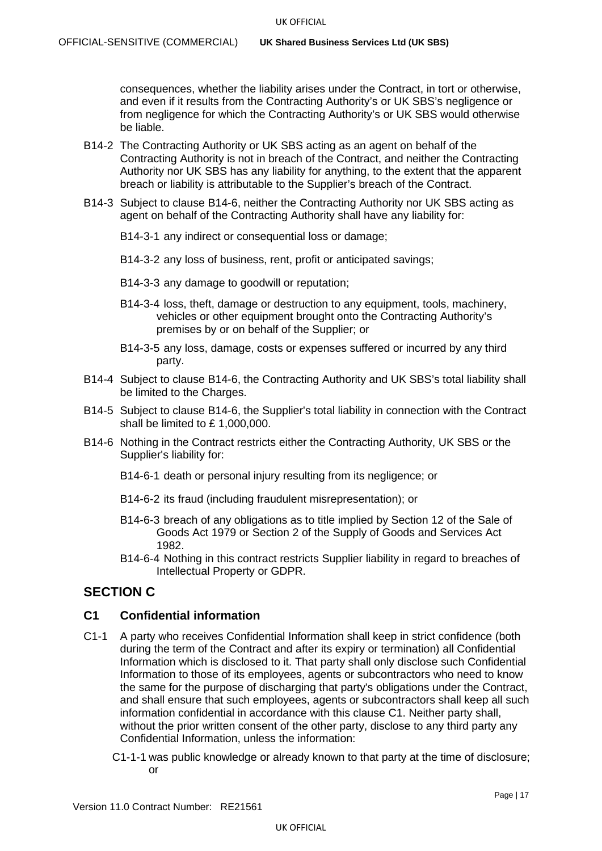consequences, whether the liability arises under the Contract, in tort or otherwise, and even if it results from the Contracting Authority's or UK SBS's negligence or from negligence for which the Contracting Authority's or UK SBS would otherwise be liable.

- B14-2 The Contracting Authority or UK SBS acting as an agent on behalf of the Contracting Authority is not in breach of the Contract, and neither the Contracting Authority nor UK SBS has any liability for anything, to the extent that the apparent breach or liability is attributable to the Supplier's breach of the Contract.
- B14-3 Subject to clause [B14-6,](#page-16-1) neither the Contracting Authority nor UK SBS acting as agent on behalf of the Contracting Authority shall have any liability for:
	- B14-3-1 any indirect or consequential loss or damage;
	- B14-3-2 any loss of business, rent, profit or anticipated savings;
	- B14-3-3 any damage to goodwill or reputation;
	- B14-3-4 loss, theft, damage or destruction to any equipment, tools, machinery, vehicles or other equipment brought onto the Contracting Authority's premises by or on behalf of the Supplier; or
	- B14-3-5 any loss, damage, costs or expenses suffered or incurred by any third party.
- B14-4 Subject to clause [B14-6,](#page-16-1) the Contracting Authority and UK SBS's total liability shall be limited to the Charges.
- B14-5 Subject to clause [B14-6,](#page-16-1) the Supplier's total liability in connection with the Contract shall be limited to £ 1,000,000.
- <span id="page-16-1"></span>B14-6 Nothing in the Contract restricts either the Contracting Authority, UK SBS or the Supplier's liability for:
	- B14-6-1 death or personal injury resulting from its negligence; or
	- B14-6-2 its fraud (including fraudulent misrepresentation); or
	- B14-6-3 breach of any obligations as to title implied by Section 12 of the Sale of Goods Act 1979 or Section 2 of the Supply of Goods and Services Act 1982.
	- B14-6-4 Nothing in this contract restricts Supplier liability in regard to breaches of Intellectual Property or GDPR.

# **SECTION C**

## <span id="page-16-0"></span>**C1 Confidential information**

- C1-1 A party who receives Confidential Information shall keep in strict confidence (both during the term of the Contract and after its expiry or termination) all Confidential Information which is disclosed to it. That party shall only disclose such Confidential Information to those of its employees, agents or subcontractors who need to know the same for the purpose of discharging that party's obligations under the Contract, and shall ensure that such employees, agents or subcontractors shall keep all such information confidential in accordance with this clause [C1.](#page-16-0) Neither party shall, without the prior written consent of the other party, disclose to any third party any Confidential Information, unless the information:
	- C1-1-1 was public knowledge or already known to that party at the time of disclosure; or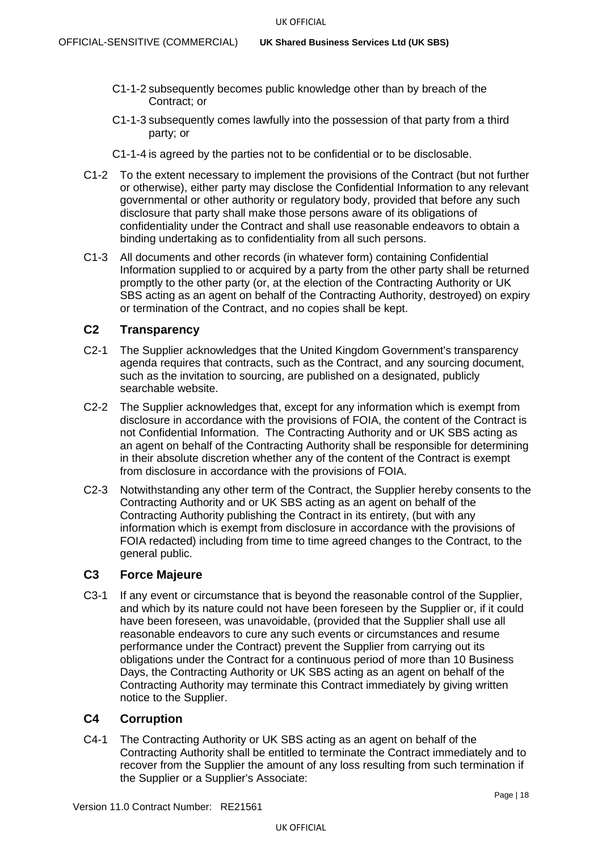- C1-1-2 subsequently becomes public knowledge other than by breach of the Contract; or
- C1-1-3 subsequently comes lawfully into the possession of that party from a third party; or
- C1-1-4 is agreed by the parties not to be confidential or to be disclosable.
- C1-2 To the extent necessary to implement the provisions of the Contract (but not further or otherwise), either party may disclose the Confidential Information to any relevant governmental or other authority or regulatory body, provided that before any such disclosure that party shall make those persons aware of its obligations of confidentiality under the Contract and shall use reasonable endeavors to obtain a binding undertaking as to confidentiality from all such persons.
- C1-3 All documents and other records (in whatever form) containing Confidential Information supplied to or acquired by a party from the other party shall be returned promptly to the other party (or, at the election of the Contracting Authority or UK SBS acting as an agent on behalf of the Contracting Authority, destroyed) on expiry or termination of the Contract, and no copies shall be kept.

## <span id="page-17-2"></span>**C2 Transparency**

- C2-1 The Supplier acknowledges that the United Kingdom Government's transparency agenda requires that contracts, such as the Contract, and any sourcing document, such as the invitation to sourcing, are published on a designated, publicly searchable website.
- C2-2 The Supplier acknowledges that, except for any information which is exempt from disclosure in accordance with the provisions of FOIA, the content of the Contract is not Confidential Information. The Contracting Authority and or UK SBS acting as an agent on behalf of the Contracting Authority shall be responsible for determining in their absolute discretion whether any of the content of the Contract is exempt from disclosure in accordance with the provisions of FOIA.
- C2-3 Notwithstanding any other term of the Contract, the Supplier hereby consents to the Contracting Authority and or UK SBS acting as an agent on behalf of the Contracting Authority publishing the Contract in its entirety, (but with any information which is exempt from disclosure in accordance with the provisions of FOIA redacted) including from time to time agreed changes to the Contract, to the general public.

## <span id="page-17-3"></span>**C3 Force Majeure**

<span id="page-17-0"></span>C3-1 If any event or circumstance that is beyond the reasonable control of the Supplier, and which by its nature could not have been foreseen by the Supplier or, if it could have been foreseen, was unavoidable, (provided that the Supplier shall use all reasonable endeavors to cure any such events or circumstances and resume performance under the Contract) prevent the Supplier from carrying out its obligations under the Contract for a continuous period of more than 10 Business Days, the Contracting Authority or UK SBS acting as an agent on behalf of the Contracting Authority may terminate this Contract immediately by giving written notice to the Supplier.

#### <span id="page-17-4"></span>**C4 Corruption**

<span id="page-17-1"></span>C4-1 The Contracting Authority or UK SBS acting as an agent on behalf of the Contracting Authority shall be entitled to terminate the Contract immediately and to recover from the Supplier the amount of any loss resulting from such termination if the Supplier or a Supplier's Associate: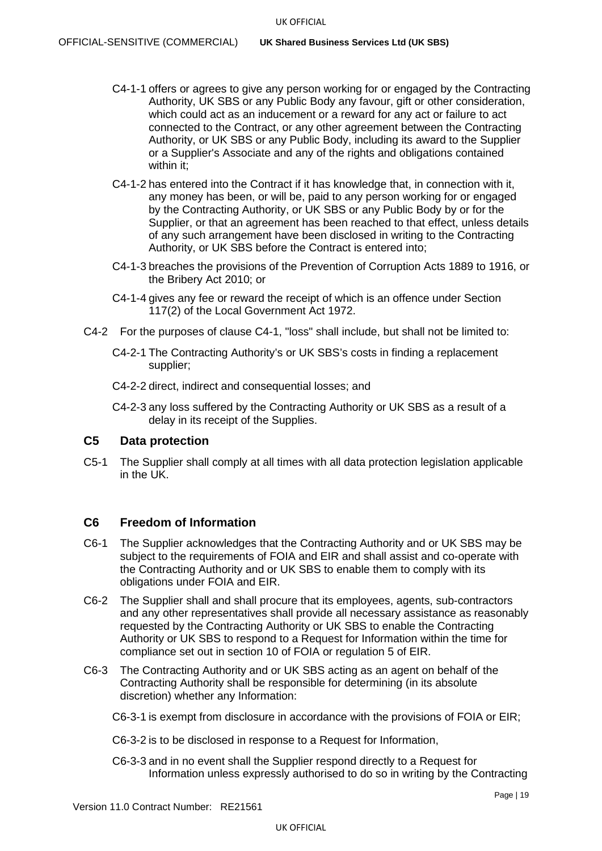- C4-1-1 offers or agrees to give any person working for or engaged by the Contracting Authority, UK SBS or any Public Body any favour, gift or other consideration, which could act as an inducement or a reward for any act or failure to act connected to the Contract, or any other agreement between the Contracting Authority, or UK SBS or any Public Body, including its award to the Supplier or a Supplier's Associate and any of the rights and obligations contained within it;
- C4-1-2 has entered into the Contract if it has knowledge that, in connection with it, any money has been, or will be, paid to any person working for or engaged by the Contracting Authority, or UK SBS or any Public Body by or for the Supplier, or that an agreement has been reached to that effect, unless details of any such arrangement have been disclosed in writing to the Contracting Authority, or UK SBS before the Contract is entered into;
- C4-1-3 breaches the provisions of the Prevention of Corruption Acts 1889 to 1916, or the Bribery Act 2010; or
- C4-1-4 gives any fee or reward the receipt of which is an offence under Section 117(2) of the Local Government Act 1972.
- C4-2 For the purposes of clause [C4-1,](#page-17-1) "loss" shall include, but shall not be limited to:
	- C4-2-1 The Contracting Authority's or UK SBS's costs in finding a replacement supplier;
	- C4-2-2 direct, indirect and consequential losses; and
	- C4-2-3 any loss suffered by the Contracting Authority or UK SBS as a result of a delay in its receipt of the Supplies.

## **C5 Data protection**

C5-1 The Supplier shall comply at all times with all data protection legislation applicable in the UK.

#### <span id="page-18-0"></span>**C6 Freedom of Information**

- C6-1 The Supplier acknowledges that the Contracting Authority and or UK SBS may be subject to the requirements of FOIA and EIR and shall assist and co-operate with the Contracting Authority and or UK SBS to enable them to comply with its obligations under FOIA and EIR.
- <span id="page-18-1"></span>C6-2 The Supplier shall and shall procure that its employees, agents, sub-contractors and any other representatives shall provide all necessary assistance as reasonably requested by the Contracting Authority or UK SBS to enable the Contracting Authority or UK SBS to respond to a Request for Information within the time for compliance set out in section 10 of FOIA or regulation 5 of EIR.
- C6-3 The Contracting Authority and or UK SBS acting as an agent on behalf of the Contracting Authority shall be responsible for determining (in its absolute discretion) whether any Information:
	- C6-3-1 is exempt from disclosure in accordance with the provisions of FOIA or EIR;
	- C6-3-2 is to be disclosed in response to a Request for Information,
	- C6-3-3 and in no event shall the Supplier respond directly to a Request for Information unless expressly authorised to do so in writing by the Contracting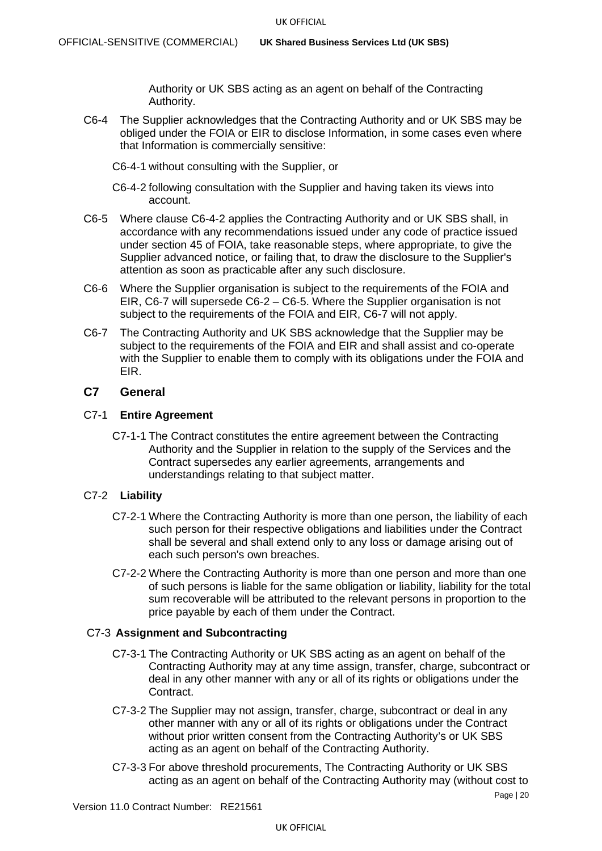Authority or UK SBS acting as an agent on behalf of the Contracting Authority.

C6-4 The Supplier acknowledges that the Contracting Authority and or UK SBS may be obliged under the FOIA or EIR to disclose Information, in some cases even where that Information is commercially sensitive:

C6-4-1 without consulting with the Supplier, or

- <span id="page-19-1"></span>C6-4-2 following consultation with the Supplier and having taken its views into account.
- <span id="page-19-3"></span>C6-5 Where clause [C6-4-2](#page-19-1) applies the Contracting Authority and or UK SBS shall, in accordance with any recommendations issued under any code of practice issued under section 45 of FOIA, take reasonable steps, where appropriate, to give the Supplier advanced notice, or failing that, to draw the disclosure to the Supplier's attention as soon as practicable after any such disclosure.
- C6-6 Where the Supplier organisation is subject to the requirements of the FOIA and EIR, [C6-7](#page-19-2) will supersede [C6-2](#page-18-1) – [C6-5.](#page-19-3) Where the Supplier organisation is not subject to the requirements of the FOIA and EIR, [C6-7](#page-19-2) will not apply.
- <span id="page-19-2"></span>C6-7 The Contracting Authority and UK SBS acknowledge that the Supplier may be subject to the requirements of the FOIA and EIR and shall assist and co-operate with the Supplier to enable them to comply with its obligations under the FOIA and EIR.

## <span id="page-19-0"></span>**C7 General**

## C7-1 **Entire Agreement**

C7-1-1 The Contract constitutes the entire agreement between the Contracting Authority and the Supplier in relation to the supply of the Services and the Contract supersedes any earlier agreements, arrangements and understandings relating to that subject matter.

## C7-2 **Liability**

- C7-2-1 Where the Contracting Authority is more than one person, the liability of each such person for their respective obligations and liabilities under the Contract shall be several and shall extend only to any loss or damage arising out of each such person's own breaches.
- C7-2-2 Where the Contracting Authority is more than one person and more than one of such persons is liable for the same obligation or liability, liability for the total sum recoverable will be attributed to the relevant persons in proportion to the price payable by each of them under the Contract.

## C7-3 **Assignment and Subcontracting**

- C7-3-1 The Contracting Authority or UK SBS acting as an agent on behalf of the Contracting Authority may at any time assign, transfer, charge, subcontract or deal in any other manner with any or all of its rights or obligations under the Contract.
- C7-3-2 The Supplier may not assign, transfer, charge, subcontract or deal in any other manner with any or all of its rights or obligations under the Contract without prior written consent from the Contracting Authority's or UK SBS acting as an agent on behalf of the Contracting Authority.
- C7-3-3 For above threshold procurements, The Contracting Authority or UK SBS acting as an agent on behalf of the Contracting Authority may (without cost to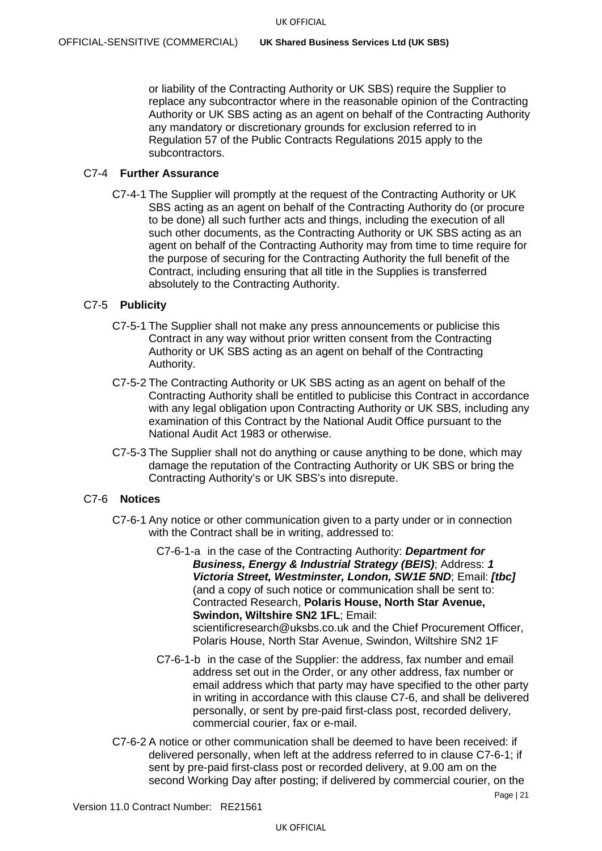or liability of the Contracting Authority or UK SBS) require the Supplier to replace any subcontractor where in the reasonable opinion of the Contracting Authority or UK SBS acting as an agent on behalf of the Contracting Authority any mandatory or discretionary grounds for exclusion referred to in Regulation 57 of the Public Contracts Regulations 2015 apply to the subcontractors.

#### C7-4 **Further Assurance**

C7-4-1 The Supplier will promptly at the request of the Contracting Authority or UK SBS acting as an agent on behalf of the Contracting Authority do (or procure to be done) all such further acts and things, including the execution of all such other documents, as the Contracting Authority or UK SBS acting as an agent on behalf of the Contracting Authority may from time to time require for the purpose of securing for the Contracting Authority the full benefit of the Contract, including ensuring that all title in the Supplies is transferred absolutely to the Contracting Authority.

## C7-5 **Publicity**

- C7-5-1 The Supplier shall not make any press announcements or publicise this Contract in any way without prior written consent from the Contracting Authority or UK SBS acting as an agent on behalf of the Contracting Authority.
- C7-5-2 The Contracting Authority or UK SBS acting as an agent on behalf of the Contracting Authority shall be entitled to publicise this Contract in accordance with any legal obligation upon Contracting Authority or UK SBS, including any examination of this Contract by the National Audit Office pursuant to the National Audit Act 1983 or otherwise.
- C7-5-3 The Supplier shall not do anything or cause anything to be done, which may damage the reputation of the Contracting Authority or UK SBS or bring the Contracting Authority's or UK SBS's into disrepute.

#### <span id="page-20-1"></span><span id="page-20-0"></span>C7-6 **Notices**

- C7-6-1 Any notice or other communication given to a party under or in connection with the Contract shall be in writing, addressed to:
	- C7-6-1-a in the case of the Contracting Authority: *Department for Business, Energy & Industrial Strategy (BEIS)*; Address: *1 Victoria Street, Westminster, London, SW1E 5ND*; Email: *[tbc]*  (and a copy of such notice or communication shall be sent to: Contracted Research, **Polaris House, North Star Avenue, Swindon, Wiltshire SN2 1FL**; Email:

scientificresearch@uksbs.co.uk and the Chief Procurement Officer, Polaris House, North Star Avenue, Swindon, Wiltshire SN2 1F

- C7-6-1-b in the case of the Supplier: the address, fax number and email address set out in the Order, or any other address, fax number or email address which that party may have specified to the other party in writing in accordance with this clause [C7-6,](#page-20-0) and shall be delivered personally, or sent by pre-paid first-class post, recorded delivery, commercial courier, fax or e-mail.
- C7-6-2 A notice or other communication shall be deemed to have been received: if delivered personally, when left at the address referred to in clause [C7-6-1;](#page-20-1) if sent by pre-paid first-class post or recorded delivery, at 9.00 am on the second Working Day after posting; if delivered by commercial courier, on the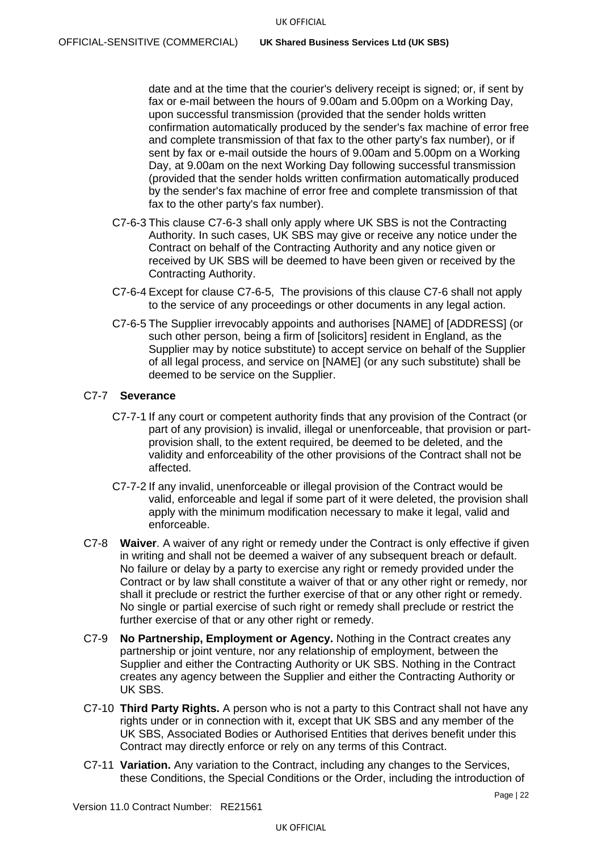date and at the time that the courier's delivery receipt is signed; or, if sent by fax or e-mail between the hours of 9.00am and 5.00pm on a Working Day, upon successful transmission (provided that the sender holds written confirmation automatically produced by the sender's fax machine of error free and complete transmission of that fax to the other party's fax number), or if sent by fax or e-mail outside the hours of 9.00am and 5.00pm on a Working Day, at 9.00am on the next Working Day following successful transmission (provided that the sender holds written confirmation automatically produced by the sender's fax machine of error free and complete transmission of that fax to the other party's fax number).

- <span id="page-21-1"></span>C7-6-3 This clause [C7-6-3](#page-21-1) shall only apply where UK SBS is not the Contracting Authority. In such cases, UK SBS may give or receive any notice under the Contract on behalf of the Contracting Authority and any notice given or received by UK SBS will be deemed to have been given or received by the Contracting Authority.
- C7-6-4 Except for clause [C7-6-5,](#page-21-2) The provisions of this clause [C7-6](#page-20-0) shall not apply to the service of any proceedings or other documents in any legal action.
- <span id="page-21-2"></span>C7-6-5 The Supplier irrevocably appoints and authorises [NAME] of [ADDRESS] (or such other person, being a firm of [solicitors] resident in England, as the Supplier may by notice substitute) to accept service on behalf of the Supplier of all legal process, and service on [NAME] (or any such substitute) shall be deemed to be service on the Supplier.

#### C7-7 **Severance**

- C7-7-1 If any court or competent authority finds that any provision of the Contract (or part of any provision) is invalid, illegal or unenforceable, that provision or partprovision shall, to the extent required, be deemed to be deleted, and the validity and enforceability of the other provisions of the Contract shall not be affected.
- C7-7-2 If any invalid, unenforceable or illegal provision of the Contract would be valid, enforceable and legal if some part of it were deleted, the provision shall apply with the minimum modification necessary to make it legal, valid and enforceable.
- C7-8 **Waiver**. A waiver of any right or remedy under the Contract is only effective if given in writing and shall not be deemed a waiver of any subsequent breach or default. No failure or delay by a party to exercise any right or remedy provided under the Contract or by law shall constitute a waiver of that or any other right or remedy, nor shall it preclude or restrict the further exercise of that or any other right or remedy. No single or partial exercise of such right or remedy shall preclude or restrict the further exercise of that or any other right or remedy.
- C7-9 **No Partnership, Employment or Agency.** Nothing in the Contract creates any partnership or joint venture, nor any relationship of employment, between the Supplier and either the Contracting Authority or UK SBS. Nothing in the Contract creates any agency between the Supplier and either the Contracting Authority or UK SBS.
- C7-10 **Third Party Rights.** A person who is not a party to this Contract shall not have any rights under or in connection with it, except that UK SBS and any member of the UK SBS, Associated Bodies or Authorised Entities that derives benefit under this Contract may directly enforce or rely on any terms of this Contract.
- <span id="page-21-0"></span>C7-11 **Variation.** Any variation to the Contract, including any changes to the Services, these Conditions, the Special Conditions or the Order, including the introduction of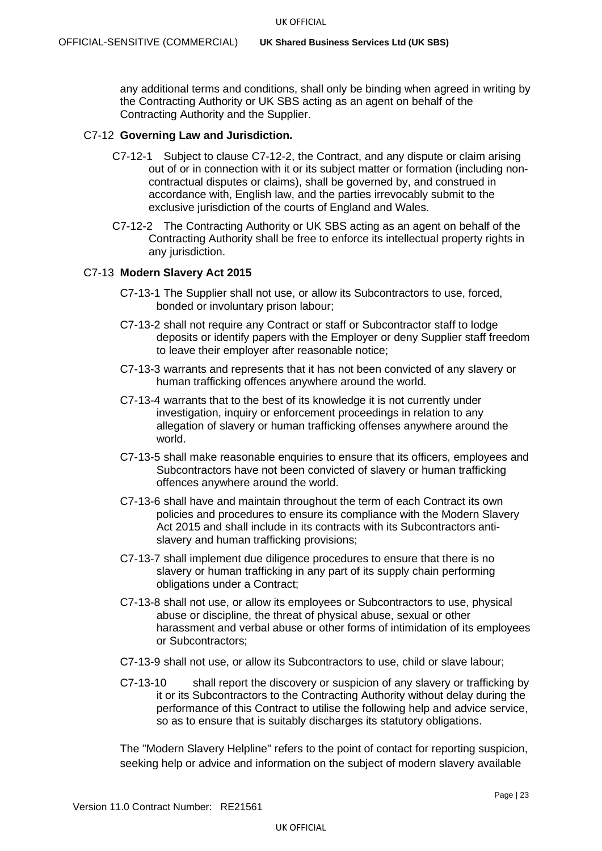any additional terms and conditions, shall only be binding when agreed in writing by the Contracting Authority or UK SBS acting as an agent on behalf of the Contracting Authority and the Supplier.

#### C7-12 **Governing Law and Jurisdiction.**

- C7-12-1 Subject to clause [C7-12-2,](#page-22-0) the Contract, and any dispute or claim arising out of or in connection with it or its subject matter or formation (including noncontractual disputes or claims), shall be governed by, and construed in accordance with, English law, and the parties irrevocably submit to the exclusive jurisdiction of the courts of England and Wales.
- <span id="page-22-0"></span>C7-12-2 The Contracting Authority or UK SBS acting as an agent on behalf of the Contracting Authority shall be free to enforce its intellectual property rights in any jurisdiction.

## C7-13 **Modern Slavery Act 2015**

- C7-13-1 The Supplier shall not use, or allow its Subcontractors to use, forced, bonded or involuntary prison labour;
- C7-13-2 shall not require any Contract or staff or Subcontractor staff to lodge deposits or identify papers with the Employer or deny Supplier staff freedom to leave their employer after reasonable notice;
- C7-13-3 warrants and represents that it has not been convicted of any slavery or human trafficking offences anywhere around the world.
- C7-13-4 warrants that to the best of its knowledge it is not currently under investigation, inquiry or enforcement proceedings in relation to any allegation of slavery or human trafficking offenses anywhere around the world.
- C7-13-5 shall make reasonable enquiries to ensure that its officers, employees and Subcontractors have not been convicted of slavery or human trafficking offences anywhere around the world.
- C7-13-6 shall have and maintain throughout the term of each Contract its own policies and procedures to ensure its compliance with the Modern Slavery Act 2015 and shall include in its contracts with its Subcontractors antislavery and human trafficking provisions;
- C7-13-7 shall implement due diligence procedures to ensure that there is no slavery or human trafficking in any part of its supply chain performing obligations under a Contract;
- C7-13-8 shall not use, or allow its employees or Subcontractors to use, physical abuse or discipline, the threat of physical abuse, sexual or other harassment and verbal abuse or other forms of intimidation of its employees or Subcontractors;
- C7-13-9 shall not use, or allow its Subcontractors to use, child or slave labour;
- C7-13-10 shall report the discovery or suspicion of any slavery or trafficking by it or its Subcontractors to the Contracting Authority without delay during the performance of this Contract to utilise the following help and advice service, so as to ensure that is suitably discharges its statutory obligations.

The "Modern Slavery Helpline" refers to the point of contact for reporting suspicion, seeking help or advice and information on the subject of modern slavery available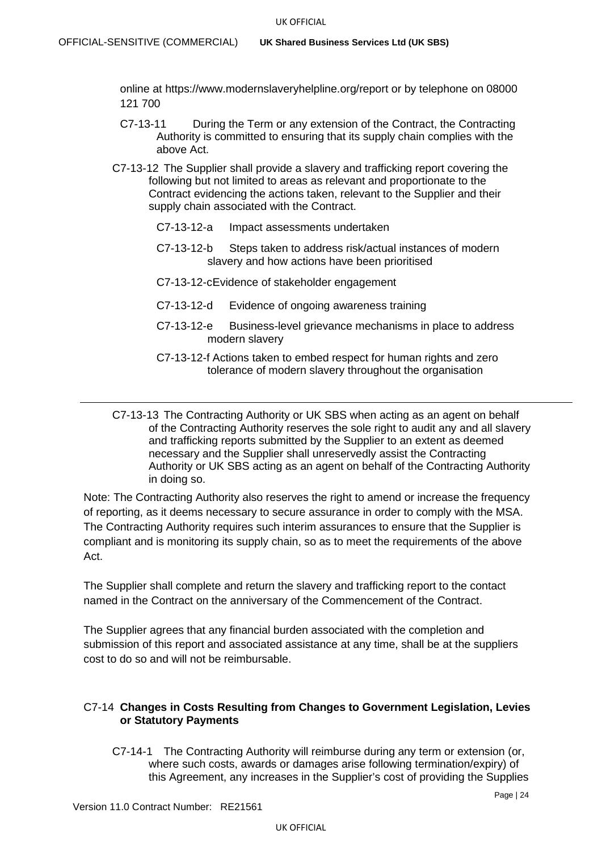online at https://www.modernslaveryhelpline.org/report or by telephone on 08000 121 700

- C7-13-11 During the Term or any extension of the Contract, the Contracting Authority is committed to ensuring that its supply chain complies with the above Act.
- C7-13-12 The Supplier shall provide a slavery and trafficking report covering the following but not limited to areas as relevant and proportionate to the Contract evidencing the actions taken, relevant to the Supplier and their supply chain associated with the Contract.
	- C7-13-12-a Impact assessments undertaken
	- C7-13-12-b Steps taken to address risk/actual instances of modern slavery and how actions have been prioritised
	- C7-13-12-cEvidence of stakeholder engagement
	- C7-13-12-d Evidence of ongoing awareness training
	- C7-13-12-e Business-level grievance mechanisms in place to address modern slavery
	- C7-13-12-f Actions taken to embed respect for human rights and zero tolerance of modern slavery throughout the organisation
- C7-13-13 The Contracting Authority or UK SBS when acting as an agent on behalf of the Contracting Authority reserves the sole right to audit any and all slavery and trafficking reports submitted by the Supplier to an extent as deemed necessary and the Supplier shall unreservedly assist the Contracting Authority or UK SBS acting as an agent on behalf of the Contracting Authority in doing so.

Note: The Contracting Authority also reserves the right to amend or increase the frequency of reporting, as it deems necessary to secure assurance in order to comply with the MSA. The Contracting Authority requires such interim assurances to ensure that the Supplier is compliant and is monitoring its supply chain, so as to meet the requirements of the above Act.

The Supplier shall complete and return the slavery and trafficking report to the contact named in the Contract on the anniversary of the Commencement of the Contract.

The Supplier agrees that any financial burden associated with the completion and submission of this report and associated assistance at any time, shall be at the suppliers cost to do so and will not be reimbursable.

## C7-14 **Changes in Costs Resulting from Changes to Government Legislation, Levies or Statutory Payments**

C7-14-1 The Contracting Authority will reimburse during any term or extension (or, where such costs, awards or damages arise following termination/expiry) of this Agreement, any increases in the Supplier's cost of providing the Supplies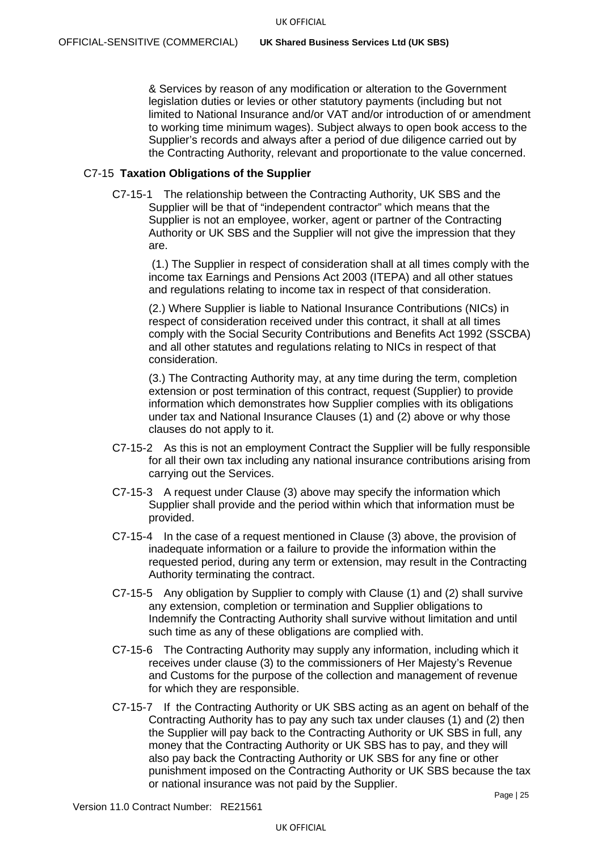& Services by reason of any modification or alteration to the Government legislation duties or levies or other statutory payments (including but not limited to National Insurance and/or VAT and/or introduction of or amendment to working time minimum wages). Subject always to open book access to the Supplier's records and always after a period of due diligence carried out by the Contracting Authority, relevant and proportionate to the value concerned.

## C7-15 **Taxation Obligations of the Supplier**

C7-15-1 The relationship between the Contracting Authority, UK SBS and the Supplier will be that of "independent contractor" which means that the Supplier is not an employee, worker, agent or partner of the Contracting Authority or UK SBS and the Supplier will not give the impression that they are.

(1.) The Supplier in respect of consideration shall at all times comply with the income tax Earnings and Pensions Act 2003 (ITEPA) and all other statues and regulations relating to income tax in respect of that consideration.

(2.) Where Supplier is liable to National Insurance Contributions (NICs) in respect of consideration received under this contract, it shall at all times comply with the Social Security Contributions and Benefits Act 1992 (SSCBA) and all other statutes and regulations relating to NICs in respect of that consideration.

(3.) The Contracting Authority may, at any time during the term, completion extension or post termination of this contract, request (Supplier) to provide information which demonstrates how Supplier complies with its obligations under tax and National Insurance Clauses (1) and (2) above or why those clauses do not apply to it.

- C7-15-2 As this is not an employment Contract the Supplier will be fully responsible for all their own tax including any national insurance contributions arising from carrying out the Services.
- C7-15-3 A request under Clause (3) above may specify the information which Supplier shall provide and the period within which that information must be provided.
- C7-15-4 In the case of a request mentioned in Clause (3) above, the provision of inadequate information or a failure to provide the information within the requested period, during any term or extension, may result in the Contracting Authority terminating the contract.
- C7-15-5 Any obligation by Supplier to comply with Clause (1) and (2) shall survive any extension, completion or termination and Supplier obligations to Indemnify the Contracting Authority shall survive without limitation and until such time as any of these obligations are complied with.
- C7-15-6 The Contracting Authority may supply any information, including which it receives under clause (3) to the commissioners of Her Majesty's Revenue and Customs for the purpose of the collection and management of revenue for which they are responsible.
- C7-15-7 If the Contracting Authority or UK SBS acting as an agent on behalf of the Contracting Authority has to pay any such tax under clauses (1) and (2) then the Supplier will pay back to the Contracting Authority or UK SBS in full, any money that the Contracting Authority or UK SBS has to pay, and they will also pay back the Contracting Authority or UK SBS for any fine or other punishment imposed on the Contracting Authority or UK SBS because the tax or national insurance was not paid by the Supplier.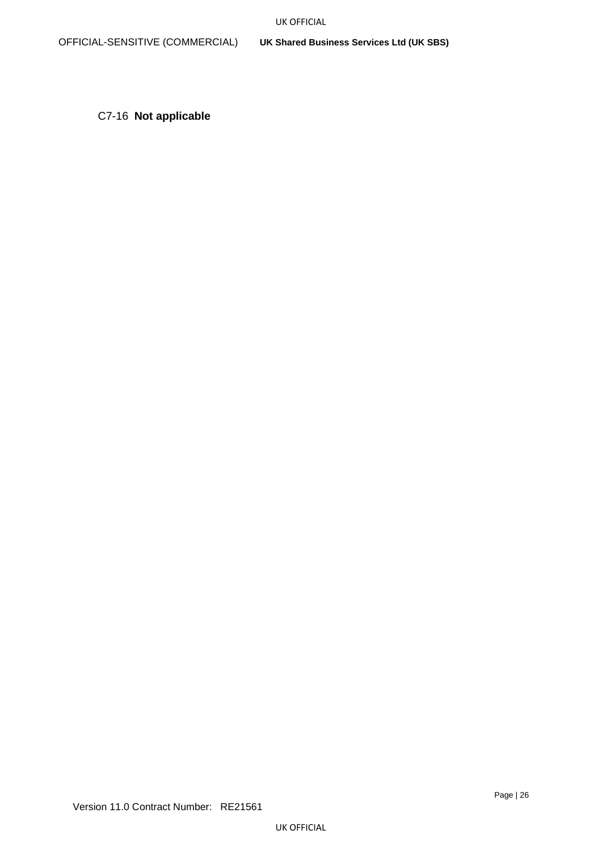OFFICIAL-SENSITIVE (COMMERCIAL) **UK Shared Business Services Ltd (UK SBS)**

C7-16 **Not applicable**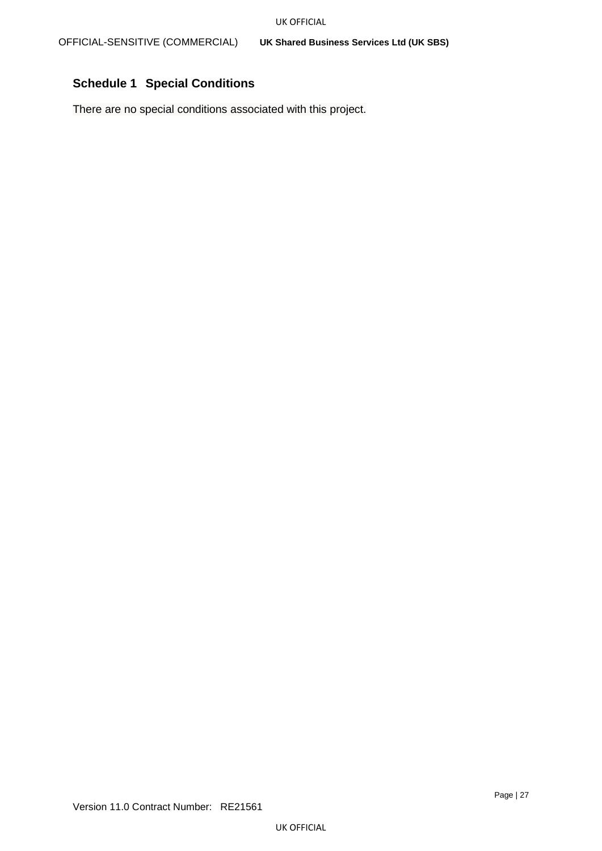# <span id="page-26-0"></span>**Schedule 1 Special Conditions**

There are no special conditions associated with this project.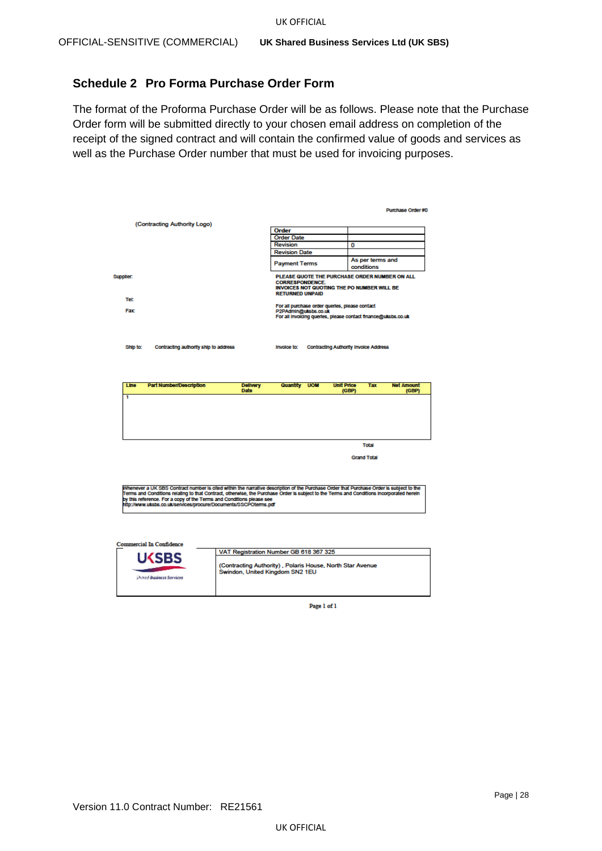# <span id="page-27-0"></span>**Schedule 2 Pro Forma Purchase Order Form**

The format of the Proforma Purchase Order will be as follows. Please note that the Purchase Order form will be submitted directly to your chosen email address on completion of the receipt of the signed contract and will contain the confirmed value of goods and services as well as the Purchase Order number that must be used for invoicing purposes.

|                                        |                                                                                                                                                                                                                                                                                                                                                                                                                                 |                                |                                                                                                                                         |            |                                                                                                    | Purchase Order#0                   |                            |
|----------------------------------------|---------------------------------------------------------------------------------------------------------------------------------------------------------------------------------------------------------------------------------------------------------------------------------------------------------------------------------------------------------------------------------------------------------------------------------|--------------------------------|-----------------------------------------------------------------------------------------------------------------------------------------|------------|----------------------------------------------------------------------------------------------------|------------------------------------|----------------------------|
| (Contracting Authority Logo)           |                                                                                                                                                                                                                                                                                                                                                                                                                                 |                                |                                                                                                                                         |            |                                                                                                    |                                    |                            |
|                                        |                                                                                                                                                                                                                                                                                                                                                                                                                                 |                                | Order                                                                                                                                   |            |                                                                                                    |                                    |                            |
|                                        |                                                                                                                                                                                                                                                                                                                                                                                                                                 |                                | <b>Order Date</b>                                                                                                                       |            |                                                                                                    |                                    |                            |
|                                        |                                                                                                                                                                                                                                                                                                                                                                                                                                 |                                | Revision                                                                                                                                |            | O                                                                                                  |                                    |                            |
|                                        |                                                                                                                                                                                                                                                                                                                                                                                                                                 |                                | <b>Revision Date</b>                                                                                                                    |            |                                                                                                    |                                    |                            |
|                                        |                                                                                                                                                                                                                                                                                                                                                                                                                                 |                                | <b>Payment Terms</b>                                                                                                                    |            |                                                                                                    | As per terms and<br>conditions     |                            |
| supplier:                              |                                                                                                                                                                                                                                                                                                                                                                                                                                 |                                | <b>CORRESPONDENCE.</b><br><b>RETURNED UNPAID</b>                                                                                        |            | PLEASE QUOTE THE PURCHASE ORDER NUMBER ON ALL<br><b>INVOICES NOT QUOTING THE PO NUMBER WILL BE</b> |                                    |                            |
| <b>Tet:</b><br>Fax                     |                                                                                                                                                                                                                                                                                                                                                                                                                                 |                                | For all purchase order queries, please contact<br>P2PAdmin@uksbs.co.uk<br>For all invoicing queries, please contact finance@uksbs.co.uk |            |                                                                                                    |                                    |                            |
| Ship to:                               | Contracting authority ship to address                                                                                                                                                                                                                                                                                                                                                                                           |                                | Invoice to:                                                                                                                             |            | <b>Contracting Authority Invoice Address</b>                                                       |                                    |                            |
| Line<br><b>Part Number/Description</b> |                                                                                                                                                                                                                                                                                                                                                                                                                                 |                                |                                                                                                                                         |            |                                                                                                    |                                    |                            |
| 1                                      |                                                                                                                                                                                                                                                                                                                                                                                                                                 | <b>Delivery</b><br><b>Date</b> | Quantity                                                                                                                                | <b>UOM</b> | <b>Unit Price</b><br>(GBP)                                                                         | <b>Tax</b>                         | <b>Net Amount</b><br>(GBP) |
|                                        |                                                                                                                                                                                                                                                                                                                                                                                                                                 |                                |                                                                                                                                         |            |                                                                                                    | <b>Total</b><br><b>Grand Total</b> |                            |
|                                        | Whenever a UK SBS Contract number is cited within the narrative description of the Purchase Order that Purchase Order is subject to the<br>Terms and Conditions relating to that Contract, otherwise, the Purchase Order is subject to the Terms and Conditions incorporated herein<br>by this reference. For a copy of the Terms and Conditions please see<br>http://www.uksbs.co.uk/services/procure/Documents/SSCPOterms.pdf |                                |                                                                                                                                         |            |                                                                                                    |                                    |                            |
| <b>Commercial In Confidence</b>        |                                                                                                                                                                                                                                                                                                                                                                                                                                 |                                |                                                                                                                                         |            |                                                                                                    |                                    |                            |
|                                        |                                                                                                                                                                                                                                                                                                                                                                                                                                 |                                | VAT Registration Number GB 618 367 325                                                                                                  |            |                                                                                                    |                                    |                            |

Page 1 of 1